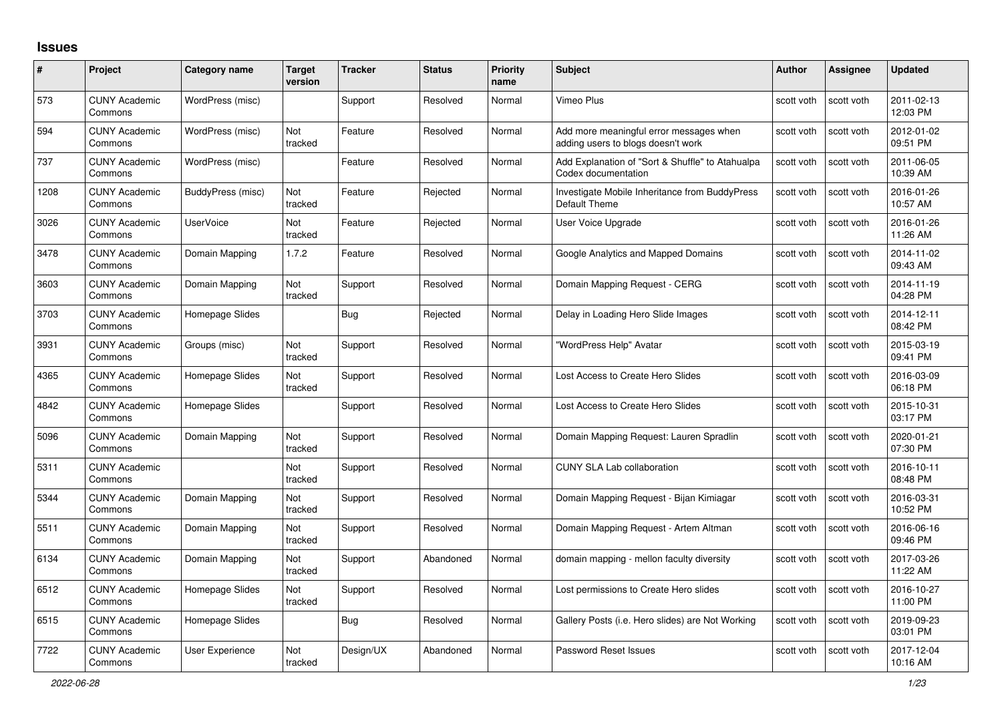## **Issues**

| #    | Project                         | Category name     | <b>Target</b><br>version | <b>Tracker</b> | <b>Status</b> | <b>Priority</b><br>name | <b>Subject</b>                                                                | <b>Author</b> | <b>Assignee</b> | <b>Updated</b>         |
|------|---------------------------------|-------------------|--------------------------|----------------|---------------|-------------------------|-------------------------------------------------------------------------------|---------------|-----------------|------------------------|
| 573  | <b>CUNY Academic</b><br>Commons | WordPress (misc)  |                          | Support        | Resolved      | Normal                  | <b>Vimeo Plus</b>                                                             | scott voth    | scott voth      | 2011-02-13<br>12:03 PM |
| 594  | <b>CUNY Academic</b><br>Commons | WordPress (misc)  | <b>Not</b><br>tracked    | Feature        | Resolved      | Normal                  | Add more meaningful error messages when<br>adding users to blogs doesn't work | scott voth    | scott voth      | 2012-01-02<br>09:51 PM |
| 737  | <b>CUNY Academic</b><br>Commons | WordPress (misc)  |                          | Feature        | Resolved      | Normal                  | Add Explanation of "Sort & Shuffle" to Atahualpa<br>Codex documentation       | scott voth    | scott voth      | 2011-06-05<br>10:39 AM |
| 1208 | <b>CUNY Academic</b><br>Commons | BuddyPress (misc) | <b>Not</b><br>tracked    | Feature        | Rejected      | Normal                  | Investigate Mobile Inheritance from BuddyPress<br>Default Theme               | scott voth    | scott voth      | 2016-01-26<br>10:57 AM |
| 3026 | <b>CUNY Academic</b><br>Commons | <b>UserVoice</b>  | Not<br>tracked           | Feature        | Rejected      | Normal                  | User Voice Upgrade                                                            | scott voth    | scott voth      | 2016-01-26<br>11:26 AM |
| 3478 | <b>CUNY Academic</b><br>Commons | Domain Mapping    | 1.7.2                    | Feature        | Resolved      | Normal                  | Google Analytics and Mapped Domains                                           | scott voth    | scott voth      | 2014-11-02<br>09:43 AM |
| 3603 | <b>CUNY Academic</b><br>Commons | Domain Mapping    | Not<br>tracked           | Support        | Resolved      | Normal                  | Domain Mapping Request - CERG                                                 | scott voth    | scott voth      | 2014-11-19<br>04:28 PM |
| 3703 | <b>CUNY Academic</b><br>Commons | Homepage Slides   |                          | <b>Bug</b>     | Rejected      | Normal                  | Delay in Loading Hero Slide Images                                            | scott voth    | scott voth      | 2014-12-11<br>08:42 PM |
| 3931 | <b>CUNY Academic</b><br>Commons | Groups (misc)     | <b>Not</b><br>tracked    | Support        | Resolved      | Normal                  | "WordPress Help" Avatar                                                       | scott voth    | scott voth      | 2015-03-19<br>09:41 PM |
| 4365 | <b>CUNY Academic</b><br>Commons | Homepage Slides   | Not<br>tracked           | Support        | Resolved      | Normal                  | Lost Access to Create Hero Slides                                             | scott voth    | scott voth      | 2016-03-09<br>06:18 PM |
| 4842 | <b>CUNY Academic</b><br>Commons | Homepage Slides   |                          | Support        | Resolved      | Normal                  | Lost Access to Create Hero Slides                                             | scott voth    | scott voth      | 2015-10-31<br>03:17 PM |
| 5096 | <b>CUNY Academic</b><br>Commons | Domain Mapping    | Not<br>tracked           | Support        | Resolved      | Normal                  | Domain Mapping Request: Lauren Spradlin                                       | scott voth    | scott voth      | 2020-01-21<br>07:30 PM |
| 5311 | <b>CUNY Academic</b><br>Commons |                   | <b>Not</b><br>tracked    | Support        | Resolved      | Normal                  | <b>CUNY SLA Lab collaboration</b>                                             | scott voth    | scott voth      | 2016-10-11<br>08:48 PM |
| 5344 | <b>CUNY Academic</b><br>Commons | Domain Mapping    | Not<br>tracked           | Support        | Resolved      | Normal                  | Domain Mapping Request - Bijan Kimiagar                                       | scott voth    | scott voth      | 2016-03-31<br>10:52 PM |
| 5511 | <b>CUNY Academic</b><br>Commons | Domain Mapping    | Not<br>tracked           | Support        | Resolved      | Normal                  | Domain Mapping Request - Artem Altman                                         | scott voth    | scott voth      | 2016-06-16<br>09:46 PM |
| 6134 | <b>CUNY Academic</b><br>Commons | Domain Mapping    | Not<br>tracked           | Support        | Abandoned     | Normal                  | domain mapping - mellon faculty diversity                                     | scott voth    | scott voth      | 2017-03-26<br>11:22 AM |
| 6512 | <b>CUNY Academic</b><br>Commons | Homepage Slides   | Not<br>tracked           | Support        | Resolved      | Normal                  | Lost permissions to Create Hero slides                                        | scott voth    | scott voth      | 2016-10-27<br>11:00 PM |
| 6515 | <b>CUNY Academic</b><br>Commons | Homepage Slides   |                          | Bug            | Resolved      | Normal                  | Gallery Posts (i.e. Hero slides) are Not Working                              | scott voth    | scott voth      | 2019-09-23<br>03:01 PM |
| 7722 | <b>CUNY Academic</b><br>Commons | User Experience   | Not<br>tracked           | Design/UX      | Abandoned     | Normal                  | Password Reset Issues                                                         | scott voth    | scott voth      | 2017-12-04<br>10:16 AM |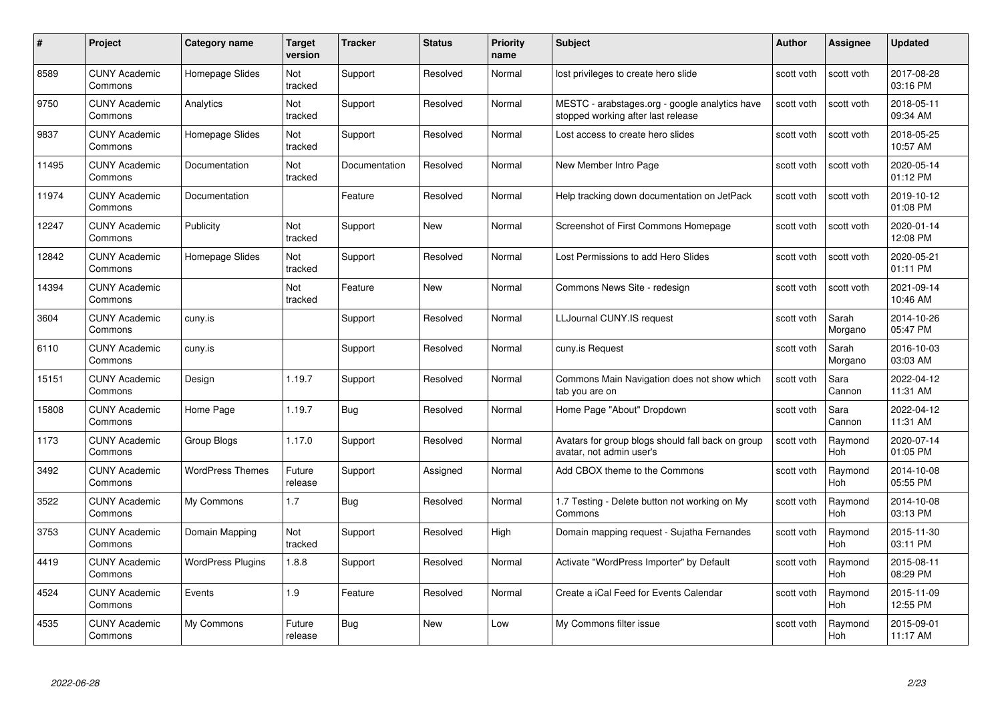| #     | Project                         | <b>Category name</b>     | Target<br>version     | <b>Tracker</b> | <b>Status</b> | <b>Priority</b><br>name | <b>Subject</b>                                                                       | <b>Author</b> | <b>Assignee</b>       | <b>Updated</b>         |
|-------|---------------------------------|--------------------------|-----------------------|----------------|---------------|-------------------------|--------------------------------------------------------------------------------------|---------------|-----------------------|------------------------|
| 8589  | <b>CUNY Academic</b><br>Commons | Homepage Slides          | Not<br>tracked        | Support        | Resolved      | Normal                  | lost privileges to create hero slide                                                 | scott voth    | scott voth            | 2017-08-28<br>03:16 PM |
| 9750  | <b>CUNY Academic</b><br>Commons | Analytics                | Not<br>tracked        | Support        | Resolved      | Normal                  | MESTC - arabstages.org - google analytics have<br>stopped working after last release | scott voth    | scott voth            | 2018-05-11<br>09:34 AM |
| 9837  | <b>CUNY Academic</b><br>Commons | Homepage Slides          | Not<br>tracked        | Support        | Resolved      | Normal                  | Lost access to create hero slides                                                    | scott voth    | scott voth            | 2018-05-25<br>10:57 AM |
| 11495 | <b>CUNY Academic</b><br>Commons | Documentation            | Not<br>tracked        | Documentation  | Resolved      | Normal                  | New Member Intro Page                                                                | scott voth    | scott voth            | 2020-05-14<br>01:12 PM |
| 11974 | <b>CUNY Academic</b><br>Commons | Documentation            |                       | Feature        | Resolved      | Normal                  | Help tracking down documentation on JetPack                                          | scott voth    | scott voth            | 2019-10-12<br>01:08 PM |
| 12247 | <b>CUNY Academic</b><br>Commons | Publicity                | <b>Not</b><br>tracked | Support        | <b>New</b>    | Normal                  | Screenshot of First Commons Homepage                                                 | scott voth    | scott voth            | 2020-01-14<br>12:08 PM |
| 12842 | <b>CUNY Academic</b><br>Commons | Homepage Slides          | Not<br>tracked        | Support        | Resolved      | Normal                  | Lost Permissions to add Hero Slides                                                  | scott voth    | scott voth            | 2020-05-21<br>01:11 PM |
| 14394 | <b>CUNY Academic</b><br>Commons |                          | Not<br>tracked        | Feature        | New           | Normal                  | Commons News Site - redesign                                                         | scott voth    | scott voth            | 2021-09-14<br>10:46 AM |
| 3604  | <b>CUNY Academic</b><br>Commons | cuny.is                  |                       | Support        | Resolved      | Normal                  | LLJournal CUNY.IS request                                                            | scott voth    | Sarah<br>Morgano      | 2014-10-26<br>05:47 PM |
| 6110  | <b>CUNY Academic</b><br>Commons | cuny.is                  |                       | Support        | Resolved      | Normal                  | cuny.is Request                                                                      | scott voth    | Sarah<br>Morgano      | 2016-10-03<br>03:03 AM |
| 15151 | CUNY Academic<br>Commons        | Design                   | 1.19.7                | Support        | Resolved      | Normal                  | Commons Main Navigation does not show which<br>tab you are on                        | scott voth    | Sara<br>Cannon        | 2022-04-12<br>11:31 AM |
| 15808 | <b>CUNY Academic</b><br>Commons | Home Page                | 1.19.7                | <b>Bug</b>     | Resolved      | Normal                  | Home Page "About" Dropdown                                                           | scott voth    | Sara<br>Cannon        | 2022-04-12<br>11:31 AM |
| 1173  | <b>CUNY Academic</b><br>Commons | Group Blogs              | 1.17.0                | Support        | Resolved      | Normal                  | Avatars for group blogs should fall back on group<br>avatar, not admin user's        | scott voth    | Raymond<br>Hoh        | 2020-07-14<br>01:05 PM |
| 3492  | <b>CUNY Academic</b><br>Commons | <b>WordPress Themes</b>  | Future<br>release     | Support        | Assigned      | Normal                  | Add CBOX theme to the Commons                                                        | scott voth    | Raymond<br>Hoh        | 2014-10-08<br>05:55 PM |
| 3522  | <b>CUNY Academic</b><br>Commons | My Commons               | 1.7                   | Bug            | Resolved      | Normal                  | 1.7 Testing - Delete button not working on My<br>Commons                             | scott voth    | Raymond<br>Hoh        | 2014-10-08<br>03:13 PM |
| 3753  | <b>CUNY Academic</b><br>Commons | Domain Mapping           | Not<br>tracked        | Support        | Resolved      | High                    | Domain mapping request - Sujatha Fernandes                                           | scott voth    | Raymond<br>Hoh        | 2015-11-30<br>03:11 PM |
| 4419  | <b>CUNY Academic</b><br>Commons | <b>WordPress Plugins</b> | 1.8.8                 | Support        | Resolved      | Normal                  | Activate "WordPress Importer" by Default                                             | scott voth    | Raymond<br><b>Hoh</b> | 2015-08-11<br>08:29 PM |
| 4524  | <b>CUNY Academic</b><br>Commons | Events                   | 1.9                   | Feature        | Resolved      | Normal                  | Create a iCal Feed for Events Calendar                                               | scott voth    | Raymond<br>Hoh        | 2015-11-09<br>12:55 PM |
| 4535  | CUNY Academic<br>Commons        | My Commons               | Future<br>release     | Bug            | <b>New</b>    | Low                     | My Commons filter issue                                                              | scott voth    | Raymond<br>Hoh        | 2015-09-01<br>11:17 AM |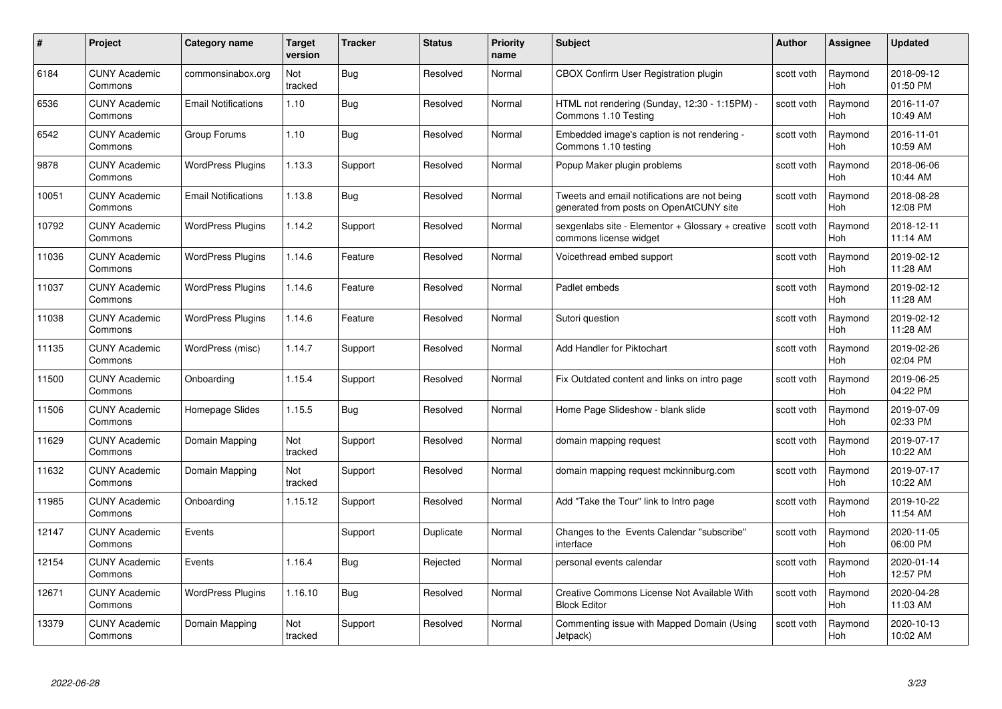| #     | Project                         | <b>Category name</b>       | Target<br>version | <b>Tracker</b> | <b>Status</b> | <b>Priority</b><br>name | <b>Subject</b>                                                                          | <b>Author</b> | <b>Assignee</b>       | <b>Updated</b>         |
|-------|---------------------------------|----------------------------|-------------------|----------------|---------------|-------------------------|-----------------------------------------------------------------------------------------|---------------|-----------------------|------------------------|
| 6184  | <b>CUNY Academic</b><br>Commons | commonsinabox.org          | Not<br>tracked    | Bug            | Resolved      | Normal                  | CBOX Confirm User Registration plugin                                                   | scott voth    | Raymond<br>Hoh        | 2018-09-12<br>01:50 PM |
| 6536  | <b>CUNY Academic</b><br>Commons | <b>Email Notifications</b> | 1.10              | Bug            | Resolved      | Normal                  | HTML not rendering (Sunday, 12:30 - 1:15PM) -<br>Commons 1.10 Testing                   | scott voth    | Raymond<br><b>Hoh</b> | 2016-11-07<br>10:49 AM |
| 6542  | <b>CUNY Academic</b><br>Commons | Group Forums               | 1.10              | Bug            | Resolved      | Normal                  | Embedded image's caption is not rendering -<br>Commons 1.10 testing                     | scott voth    | Raymond<br>Hoh        | 2016-11-01<br>10:59 AM |
| 9878  | <b>CUNY Academic</b><br>Commons | <b>WordPress Plugins</b>   | 1.13.3            | Support        | Resolved      | Normal                  | Popup Maker plugin problems                                                             | scott voth    | Raymond<br>Hoh        | 2018-06-06<br>10:44 AM |
| 10051 | <b>CUNY Academic</b><br>Commons | <b>Email Notifications</b> | 1.13.8            | <b>Bug</b>     | Resolved      | Normal                  | Tweets and email notifications are not being<br>generated from posts on OpenAtCUNY site | scott voth    | Raymond<br><b>Hoh</b> | 2018-08-28<br>12:08 PM |
| 10792 | <b>CUNY Academic</b><br>Commons | <b>WordPress Plugins</b>   | 1.14.2            | Support        | Resolved      | Normal                  | sexgenlabs site - Elementor + Glossary + creative<br>commons license widget             | scott voth    | Raymond<br>Hoh        | 2018-12-11<br>11:14 AM |
| 11036 | <b>CUNY Academic</b><br>Commons | <b>WordPress Plugins</b>   | 1.14.6            | Feature        | Resolved      | Normal                  | Voicethread embed support                                                               | scott voth    | Raymond<br>Hoh        | 2019-02-12<br>11:28 AM |
| 11037 | <b>CUNY Academic</b><br>Commons | <b>WordPress Plugins</b>   | 1.14.6            | Feature        | Resolved      | Normal                  | Padlet embeds                                                                           | scott voth    | Raymond<br><b>Hoh</b> | 2019-02-12<br>11:28 AM |
| 11038 | <b>CUNY Academic</b><br>Commons | <b>WordPress Plugins</b>   | 1.14.6            | Feature        | Resolved      | Normal                  | Sutori question                                                                         | scott voth    | Raymond<br>Hoh        | 2019-02-12<br>11:28 AM |
| 11135 | <b>CUNY Academic</b><br>Commons | WordPress (misc)           | 1.14.7            | Support        | Resolved      | Normal                  | Add Handler for Piktochart                                                              | scott voth    | Raymond<br><b>Hoh</b> | 2019-02-26<br>02:04 PM |
| 11500 | CUNY Academic<br>Commons        | Onboarding                 | 1.15.4            | Support        | Resolved      | Normal                  | Fix Outdated content and links on intro page                                            | scott voth    | Raymond<br>Hoh        | 2019-06-25<br>04:22 PM |
| 11506 | <b>CUNY Academic</b><br>Commons | Homepage Slides            | 1.15.5            | Bug            | Resolved      | Normal                  | Home Page Slideshow - blank slide                                                       | scott voth    | Raymond<br><b>Hoh</b> | 2019-07-09<br>02:33 PM |
| 11629 | <b>CUNY Academic</b><br>Commons | Domain Mapping             | Not<br>tracked    | Support        | Resolved      | Normal                  | domain mapping request                                                                  | scott voth    | Raymond<br>Hoh        | 2019-07-17<br>10:22 AM |
| 11632 | <b>CUNY Academic</b><br>Commons | Domain Mapping             | Not<br>tracked    | Support        | Resolved      | Normal                  | domain mapping request mckinniburg.com                                                  | scott voth    | Raymond<br><b>Hoh</b> | 2019-07-17<br>10:22 AM |
| 11985 | <b>CUNY Academic</b><br>Commons | Onboarding                 | 1.15.12           | Support        | Resolved      | Normal                  | Add "Take the Tour" link to Intro page                                                  | scott voth    | Raymond<br>Hoh        | 2019-10-22<br>11:54 AM |
| 12147 | <b>CUNY Academic</b><br>Commons | Events                     |                   | Support        | Duplicate     | Normal                  | Changes to the Events Calendar "subscribe"<br>interface                                 | scott voth    | Raymond<br>Hoh        | 2020-11-05<br>06:00 PM |
| 12154 | <b>CUNY Academic</b><br>Commons | Events                     | 1.16.4            | Bug            | Rejected      | Normal                  | personal events calendar                                                                | scott voth    | Raymond<br><b>Hoh</b> | 2020-01-14<br>12:57 PM |
| 12671 | <b>CUNY Academic</b><br>Commons | <b>WordPress Plugins</b>   | 1.16.10           | <b>Bug</b>     | Resolved      | Normal                  | Creative Commons License Not Available With<br><b>Block Editor</b>                      | scott voth    | Raymond<br>Hoh        | 2020-04-28<br>11:03 AM |
| 13379 | CUNY Academic<br>Commons        | Domain Mapping             | Not<br>tracked    | Support        | Resolved      | Normal                  | Commenting issue with Mapped Domain (Using<br>Jetpack)                                  | scott voth    | Raymond<br>Hoh        | 2020-10-13<br>10:02 AM |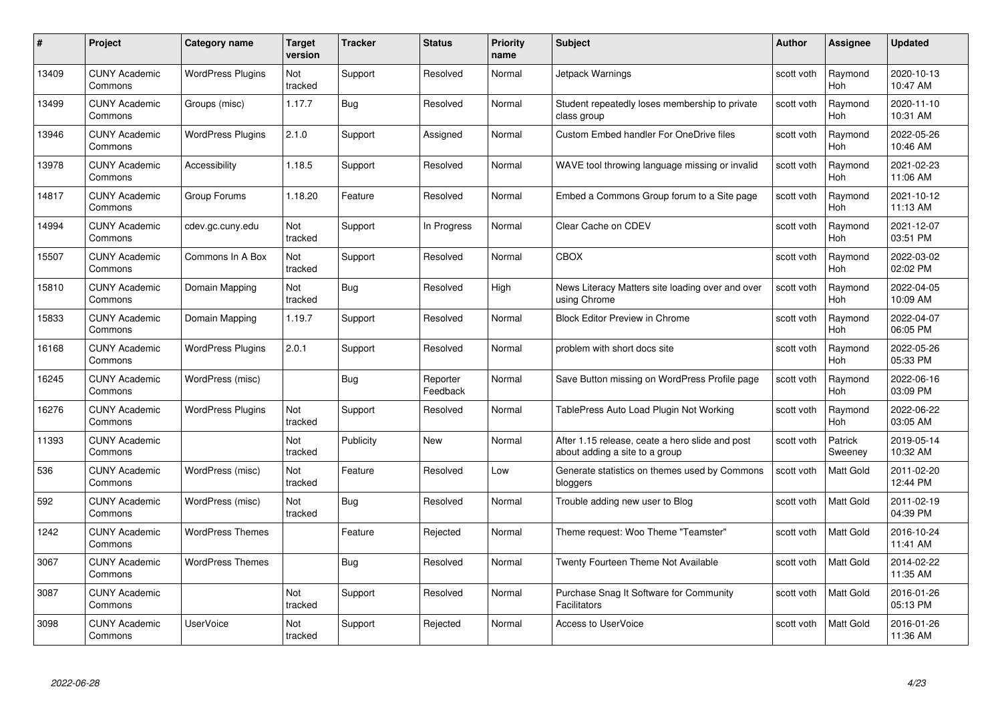| #     | Project                         | <b>Category name</b>     | Target<br>version | <b>Tracker</b> | <b>Status</b>        | <b>Priority</b><br>name | <b>Subject</b>                                                                    | <b>Author</b> | <b>Assignee</b>       | <b>Updated</b>         |
|-------|---------------------------------|--------------------------|-------------------|----------------|----------------------|-------------------------|-----------------------------------------------------------------------------------|---------------|-----------------------|------------------------|
| 13409 | <b>CUNY Academic</b><br>Commons | <b>WordPress Plugins</b> | Not<br>tracked    | Support        | Resolved             | Normal                  | Jetpack Warnings                                                                  | scott voth    | Raymond<br><b>Hoh</b> | 2020-10-13<br>10:47 AM |
| 13499 | <b>CUNY Academic</b><br>Commons | Groups (misc)            | 1.17.7            | <b>Bug</b>     | Resolved             | Normal                  | Student repeatedly loses membership to private<br>class group                     | scott voth    | Raymond<br><b>Hoh</b> | 2020-11-10<br>10:31 AM |
| 13946 | <b>CUNY Academic</b><br>Commons | <b>WordPress Plugins</b> | 2.1.0             | Support        | Assigned             | Normal                  | <b>Custom Embed handler For OneDrive files</b>                                    | scott voth    | Raymond<br>Hoh        | 2022-05-26<br>10:46 AM |
| 13978 | <b>CUNY Academic</b><br>Commons | Accessibility            | 1.18.5            | Support        | Resolved             | Normal                  | WAVE tool throwing language missing or invalid                                    | scott voth    | Raymond<br>Hoh        | 2021-02-23<br>11:06 AM |
| 14817 | <b>CUNY Academic</b><br>Commons | Group Forums             | 1.18.20           | Feature        | Resolved             | Normal                  | Embed a Commons Group forum to a Site page                                        | scott voth    | Raymond<br>Hoh        | 2021-10-12<br>11:13 AM |
| 14994 | <b>CUNY Academic</b><br>Commons | cdev.gc.cuny.edu         | Not<br>tracked    | Support        | In Progress          | Normal                  | Clear Cache on CDEV                                                               | scott voth    | Raymond<br>Hoh        | 2021-12-07<br>03:51 PM |
| 15507 | <b>CUNY Academic</b><br>Commons | Commons In A Box         | Not<br>tracked    | Support        | Resolved             | Normal                  | CBOX                                                                              | scott voth    | Raymond<br>Hoh        | 2022-03-02<br>02:02 PM |
| 15810 | <b>CUNY Academic</b><br>Commons | Domain Mapping           | Not<br>tracked    | <b>Bug</b>     | Resolved             | High                    | News Literacy Matters site loading over and over<br>using Chrome                  | scott voth    | Raymond<br><b>Hoh</b> | 2022-04-05<br>10:09 AM |
| 15833 | <b>CUNY Academic</b><br>Commons | Domain Mapping           | 1.19.7            | Support        | Resolved             | Normal                  | <b>Block Editor Preview in Chrome</b>                                             | scott voth    | Raymond<br>Hoh        | 2022-04-07<br>06:05 PM |
| 16168 | <b>CUNY Academic</b><br>Commons | <b>WordPress Plugins</b> | 2.0.1             | Support        | Resolved             | Normal                  | problem with short docs site                                                      | scott voth    | Raymond<br><b>Hoh</b> | 2022-05-26<br>05:33 PM |
| 16245 | CUNY Academic<br>Commons        | WordPress (misc)         |                   | Bug            | Reporter<br>Feedback | Normal                  | Save Button missing on WordPress Profile page                                     | scott voth    | Raymond<br><b>Hoh</b> | 2022-06-16<br>03:09 PM |
| 16276 | <b>CUNY Academic</b><br>Commons | <b>WordPress Plugins</b> | Not<br>tracked    | Support        | Resolved             | Normal                  | TablePress Auto Load Plugin Not Working                                           | scott voth    | Raymond<br>Hoh        | 2022-06-22<br>03:05 AM |
| 11393 | <b>CUNY Academic</b><br>Commons |                          | Not<br>tracked    | Publicity      | New                  | Normal                  | After 1.15 release, ceate a hero slide and post<br>about adding a site to a group | scott voth    | Patrick<br>Sweeney    | 2019-05-14<br>10:32 AM |
| 536   | <b>CUNY Academic</b><br>Commons | WordPress (misc)         | Not<br>tracked    | Feature        | Resolved             | Low                     | Generate statistics on themes used by Commons<br>bloggers                         | scott voth    | Matt Gold             | 2011-02-20<br>12:44 PM |
| 592   | <b>CUNY Academic</b><br>Commons | WordPress (misc)         | Not<br>tracked    | Bug            | Resolved             | Normal                  | Trouble adding new user to Blog                                                   | scott voth    | Matt Gold             | 2011-02-19<br>04:39 PM |
| 1242  | <b>CUNY Academic</b><br>Commons | <b>WordPress Themes</b>  |                   | Feature        | Rejected             | Normal                  | Theme request: Woo Theme "Teamster"                                               | scott voth    | Matt Gold             | 2016-10-24<br>11:41 AM |
| 3067  | <b>CUNY Academic</b><br>Commons | <b>WordPress Themes</b>  |                   | <b>Bug</b>     | Resolved             | Normal                  | Twenty Fourteen Theme Not Available                                               | scott voth    | Matt Gold             | 2014-02-22<br>11:35 AM |
| 3087  | <b>CUNY Academic</b><br>Commons |                          | Not<br>tracked    | Support        | Resolved             | Normal                  | Purchase Snag It Software for Community<br><b>Facilitators</b>                    | scott voth    | Matt Gold             | 2016-01-26<br>05:13 PM |
| 3098  | <b>CUNY Academic</b><br>Commons | UserVoice                | Not<br>tracked    | Support        | Rejected             | Normal                  | Access to UserVoice                                                               | scott voth    | Matt Gold             | 2016-01-26<br>11:36 AM |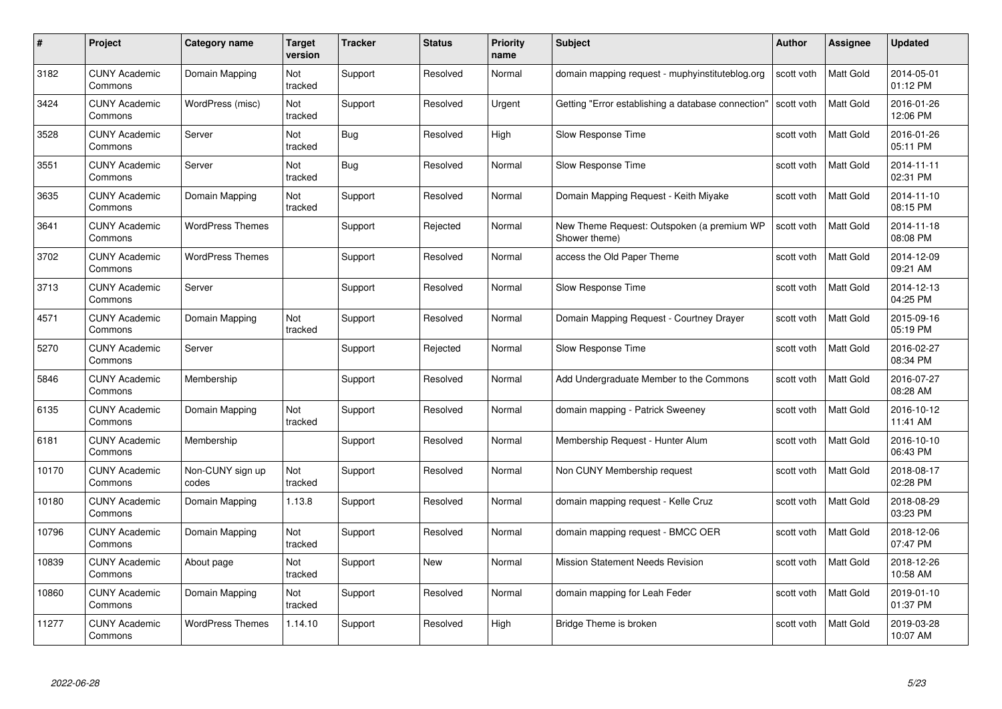| #     | Project                         | <b>Category name</b>      | Target<br>version | <b>Tracker</b> | <b>Status</b> | <b>Priority</b><br>name | <b>Subject</b>                                              | <b>Author</b> | <b>Assignee</b>  | <b>Updated</b>         |
|-------|---------------------------------|---------------------------|-------------------|----------------|---------------|-------------------------|-------------------------------------------------------------|---------------|------------------|------------------------|
| 3182  | <b>CUNY Academic</b><br>Commons | Domain Mapping            | Not<br>tracked    | Support        | Resolved      | Normal                  | domain mapping request - muphyinstituteblog.org             | scott voth    | <b>Matt Gold</b> | 2014-05-01<br>01:12 PM |
| 3424  | <b>CUNY Academic</b><br>Commons | WordPress (misc)          | Not<br>tracked    | Support        | Resolved      | Urgent                  | Getting "Error establishing a database connection"          | scott voth    | <b>Matt Gold</b> | 2016-01-26<br>12:06 PM |
| 3528  | <b>CUNY Academic</b><br>Commons | Server                    | Not<br>tracked    | <b>Bug</b>     | Resolved      | High                    | Slow Response Time                                          | scott voth    | Matt Gold        | 2016-01-26<br>05:11 PM |
| 3551  | <b>CUNY Academic</b><br>Commons | Server                    | Not<br>tracked    | <b>Bug</b>     | Resolved      | Normal                  | Slow Response Time                                          | scott voth    | <b>Matt Gold</b> | 2014-11-11<br>02:31 PM |
| 3635  | CUNY Academic<br>Commons        | Domain Mapping            | Not<br>tracked    | Support        | Resolved      | Normal                  | Domain Mapping Request - Keith Miyake                       | scott voth    | <b>Matt Gold</b> | 2014-11-10<br>08:15 PM |
| 3641  | <b>CUNY Academic</b><br>Commons | <b>WordPress Themes</b>   |                   | Support        | Rejected      | Normal                  | New Theme Request: Outspoken (a premium WP<br>Shower theme) | scott voth    | Matt Gold        | 2014-11-18<br>08:08 PM |
| 3702  | <b>CUNY Academic</b><br>Commons | <b>WordPress Themes</b>   |                   | Support        | Resolved      | Normal                  | access the Old Paper Theme                                  | scott voth    | Matt Gold        | 2014-12-09<br>09:21 AM |
| 3713  | <b>CUNY Academic</b><br>Commons | Server                    |                   | Support        | Resolved      | Normal                  | Slow Response Time                                          | scott voth    | Matt Gold        | 2014-12-13<br>04:25 PM |
| 4571  | <b>CUNY Academic</b><br>Commons | Domain Mapping            | Not<br>tracked    | Support        | Resolved      | Normal                  | Domain Mapping Request - Courtney Drayer                    | scott voth    | Matt Gold        | 2015-09-16<br>05:19 PM |
| 5270  | <b>CUNY Academic</b><br>Commons | Server                    |                   | Support        | Rejected      | Normal                  | Slow Response Time                                          | scott voth    | Matt Gold        | 2016-02-27<br>08:34 PM |
| 5846  | CUNY Academic<br>Commons        | Membership                |                   | Support        | Resolved      | Normal                  | Add Undergraduate Member to the Commons                     | scott voth    | Matt Gold        | 2016-07-27<br>08:28 AM |
| 6135  | <b>CUNY Academic</b><br>Commons | Domain Mapping            | Not<br>tracked    | Support        | Resolved      | Normal                  | domain mapping - Patrick Sweeney                            | scott voth    | Matt Gold        | 2016-10-12<br>11:41 AM |
| 6181  | <b>CUNY Academic</b><br>Commons | Membership                |                   | Support        | Resolved      | Normal                  | Membership Request - Hunter Alum                            | scott voth    | Matt Gold        | 2016-10-10<br>06:43 PM |
| 10170 | <b>CUNY Academic</b><br>Commons | Non-CUNY sign up<br>codes | Not<br>tracked    | Support        | Resolved      | Normal                  | Non CUNY Membership request                                 | scott voth    | Matt Gold        | 2018-08-17<br>02:28 PM |
| 10180 | <b>CUNY Academic</b><br>Commons | Domain Mapping            | 1.13.8            | Support        | Resolved      | Normal                  | domain mapping request - Kelle Cruz                         | scott voth    | Matt Gold        | 2018-08-29<br>03:23 PM |
| 10796 | <b>CUNY Academic</b><br>Commons | Domain Mapping            | Not<br>tracked    | Support        | Resolved      | Normal                  | domain mapping request - BMCC OER                           | scott voth    | <b>Matt Gold</b> | 2018-12-06<br>07:47 PM |
| 10839 | <b>CUNY Academic</b><br>Commons | About page                | Not<br>tracked    | Support        | New           | Normal                  | <b>Mission Statement Needs Revision</b>                     | scott voth    | Matt Gold        | 2018-12-26<br>10:58 AM |
| 10860 | <b>CUNY Academic</b><br>Commons | Domain Mapping            | Not<br>tracked    | Support        | Resolved      | Normal                  | domain mapping for Leah Feder                               | scott voth    | Matt Gold        | 2019-01-10<br>01:37 PM |
| 11277 | CUNY Academic<br>Commons        | <b>WordPress Themes</b>   | 1.14.10           | Support        | Resolved      | High                    | Bridge Theme is broken                                      | scott voth    | Matt Gold        | 2019-03-28<br>10:07 AM |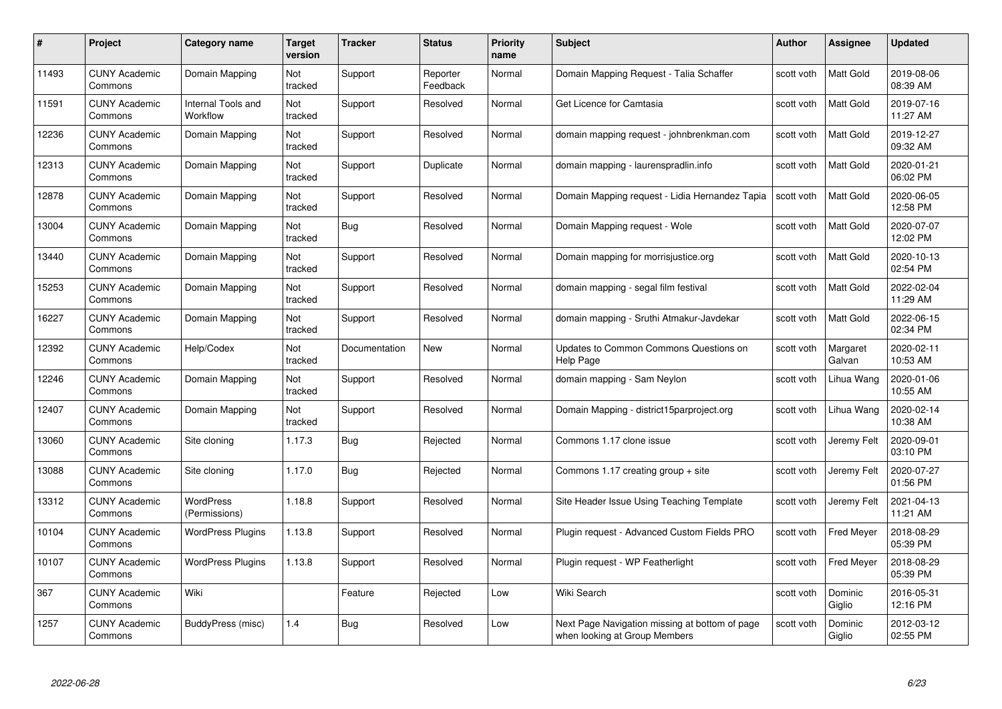| #     | Project                         | Category name                     | Target<br>version | <b>Tracker</b> | <b>Status</b>        | <b>Priority</b><br>name | <b>Subject</b>                                                                  | <b>Author</b> | <b>Assignee</b>    | <b>Updated</b>         |
|-------|---------------------------------|-----------------------------------|-------------------|----------------|----------------------|-------------------------|---------------------------------------------------------------------------------|---------------|--------------------|------------------------|
| 11493 | <b>CUNY Academic</b><br>Commons | Domain Mapping                    | Not<br>tracked    | Support        | Reporter<br>Feedback | Normal                  | Domain Mapping Request - Talia Schaffer                                         | scott voth    | <b>Matt Gold</b>   | 2019-08-06<br>08:39 AM |
| 11591 | <b>CUNY Academic</b><br>Commons | Internal Tools and<br>Workflow    | Not<br>tracked    | Support        | Resolved             | Normal                  | Get Licence for Camtasia                                                        | scott voth    | Matt Gold          | 2019-07-16<br>11:27 AM |
| 12236 | <b>CUNY Academic</b><br>Commons | Domain Mapping                    | Not<br>tracked    | Support        | Resolved             | Normal                  | domain mapping request - johnbrenkman.com                                       | scott voth    | Matt Gold          | 2019-12-27<br>09:32 AM |
| 12313 | <b>CUNY Academic</b><br>Commons | Domain Mapping                    | Not<br>tracked    | Support        | Duplicate            | Normal                  | domain mapping - laurenspradlin.info                                            | scott voth    | Matt Gold          | 2020-01-21<br>06:02 PM |
| 12878 | <b>CUNY Academic</b><br>Commons | Domain Mapping                    | Not<br>tracked    | Support        | Resolved             | Normal                  | Domain Mapping request - Lidia Hernandez Tapia                                  | scott voth    | <b>Matt Gold</b>   | 2020-06-05<br>12:58 PM |
| 13004 | <b>CUNY Academic</b><br>Commons | Domain Mapping                    | Not<br>tracked    | <b>Bug</b>     | Resolved             | Normal                  | Domain Mapping request - Wole                                                   | scott voth    | <b>Matt Gold</b>   | 2020-07-07<br>12:02 PM |
| 13440 | <b>CUNY Academic</b><br>Commons | Domain Mapping                    | Not<br>tracked    | Support        | Resolved             | Normal                  | Domain mapping for morrisjustice.org                                            | scott voth    | Matt Gold          | 2020-10-13<br>02:54 PM |
| 15253 | <b>CUNY Academic</b><br>Commons | Domain Mapping                    | Not<br>tracked    | Support        | Resolved             | Normal                  | domain mapping - segal film festival                                            | scott voth    | Matt Gold          | 2022-02-04<br>11:29 AM |
| 16227 | <b>CUNY Academic</b><br>Commons | Domain Mapping                    | Not<br>tracked    | Support        | Resolved             | Normal                  | domain mapping - Sruthi Atmakur-Javdekar                                        | scott voth    | <b>Matt Gold</b>   | 2022-06-15<br>02:34 PM |
| 12392 | <b>CUNY Academic</b><br>Commons | Help/Codex                        | Not<br>tracked    | Documentation  | New                  | Normal                  | Updates to Common Commons Questions on<br>Help Page                             | scott voth    | Margaret<br>Galvan | 2020-02-11<br>10:53 AM |
| 12246 | <b>CUNY Academic</b><br>Commons | Domain Mapping                    | Not<br>tracked    | Support        | Resolved             | Normal                  | domain mapping - Sam Neylon                                                     | scott voth    | Lihua Wang         | 2020-01-06<br>10:55 AM |
| 12407 | <b>CUNY Academic</b><br>Commons | Domain Mapping                    | Not<br>tracked    | Support        | Resolved             | Normal                  | Domain Mapping - district15parproject.org                                       | scott voth    | Lihua Wang         | 2020-02-14<br>10:38 AM |
| 13060 | <b>CUNY Academic</b><br>Commons | Site cloning                      | 1.17.3            | <b>Bug</b>     | Rejected             | Normal                  | Commons 1.17 clone issue                                                        | scott voth    | Jeremy Felt        | 2020-09-01<br>03:10 PM |
| 13088 | <b>CUNY Academic</b><br>Commons | Site cloning                      | 1.17.0            | Bug            | Rejected             | Normal                  | Commons 1.17 creating group + site                                              | scott voth    | Jeremy Felt        | 2020-07-27<br>01:56 PM |
| 13312 | <b>CUNY Academic</b><br>Commons | <b>WordPress</b><br>(Permissions) | 1.18.8            | Support        | Resolved             | Normal                  | Site Header Issue Using Teaching Template                                       | scott voth    | Jeremy Felt        | 2021-04-13<br>11:21 AM |
| 10104 | <b>CUNY Academic</b><br>Commons | <b>WordPress Plugins</b>          | 1.13.8            | Support        | Resolved             | Normal                  | Plugin request - Advanced Custom Fields PRO                                     | scott voth    | Fred Meyer         | 2018-08-29<br>05:39 PM |
| 10107 | <b>CUNY Academic</b><br>Commons | <b>WordPress Plugins</b>          | 1.13.8            | Support        | Resolved             | Normal                  | Plugin request - WP Featherlight                                                | scott voth    | <b>Fred Meyer</b>  | 2018-08-29<br>05:39 PM |
| 367   | <b>CUNY Academic</b><br>Commons | Wiki                              |                   | Feature        | Rejected             | Low                     | Wiki Search                                                                     | scott voth    | Dominic<br>Giglio  | 2016-05-31<br>12:16 PM |
| 1257  | CUNY Academic<br>Commons        | BuddyPress (misc)                 | 1.4               | <b>Bug</b>     | Resolved             | Low                     | Next Page Navigation missing at bottom of page<br>when looking at Group Members | scott voth    | Dominic<br>Giglio  | 2012-03-12<br>02:55 PM |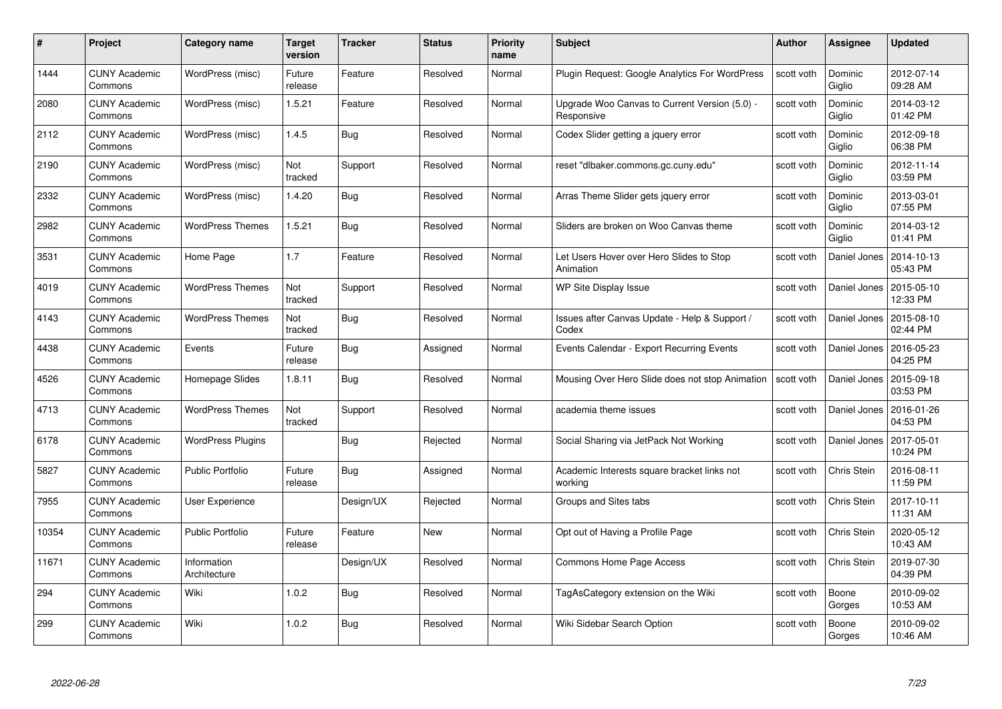| #     | Project                         | Category name               | Target<br>version | <b>Tracker</b> | <b>Status</b> | <b>Priority</b><br>name | <b>Subject</b>                                              | Author     | <b>Assignee</b>   | <b>Updated</b>         |
|-------|---------------------------------|-----------------------------|-------------------|----------------|---------------|-------------------------|-------------------------------------------------------------|------------|-------------------|------------------------|
| 1444  | <b>CUNY Academic</b><br>Commons | WordPress (misc)            | Future<br>release | Feature        | Resolved      | Normal                  | Plugin Request: Google Analytics For WordPress              | scott voth | Dominic<br>Giglio | 2012-07-14<br>09:28 AM |
| 2080  | <b>CUNY Academic</b><br>Commons | WordPress (misc)            | 1.5.21            | Feature        | Resolved      | Normal                  | Upgrade Woo Canvas to Current Version (5.0) -<br>Responsive | scott voth | Dominic<br>Giglio | 2014-03-12<br>01:42 PM |
| 2112  | <b>CUNY Academic</b><br>Commons | WordPress (misc)            | 1.4.5             | <b>Bug</b>     | Resolved      | Normal                  | Codex Slider getting a jquery error                         | scott voth | Dominic<br>Giglio | 2012-09-18<br>06:38 PM |
| 2190  | <b>CUNY Academic</b><br>Commons | WordPress (misc)            | Not<br>tracked    | Support        | Resolved      | Normal                  | reset "dlbaker.commons.gc.cuny.edu"                         | scott voth | Dominic<br>Giglio | 2012-11-14<br>03:59 PM |
| 2332  | <b>CUNY Academic</b><br>Commons | WordPress (misc)            | 1.4.20            | <b>Bug</b>     | Resolved      | Normal                  | Arras Theme Slider gets jquery error                        | scott voth | Dominic<br>Giglio | 2013-03-01<br>07:55 PM |
| 2982  | <b>CUNY Academic</b><br>Commons | <b>WordPress Themes</b>     | 1.5.21            | Bug            | Resolved      | Normal                  | Sliders are broken on Woo Canvas theme                      | scott voth | Dominic<br>Giglio | 2014-03-12<br>01:41 PM |
| 3531  | <b>CUNY Academic</b><br>Commons | Home Page                   | 1.7               | Feature        | Resolved      | Normal                  | Let Users Hover over Hero Slides to Stop<br>Animation       | scott voth | Daniel Jones      | 2014-10-13<br>05:43 PM |
| 4019  | <b>CUNY Academic</b><br>Commons | <b>WordPress Themes</b>     | Not<br>tracked    | Support        | Resolved      | Normal                  | WP Site Display Issue                                       | scott voth | Daniel Jones      | 2015-05-10<br>12:33 PM |
| 4143  | <b>CUNY Academic</b><br>Commons | <b>WordPress Themes</b>     | Not<br>tracked    | <b>Bug</b>     | Resolved      | Normal                  | Issues after Canvas Update - Help & Support /<br>Codex      | scott voth | Daniel Jones      | 2015-08-10<br>02:44 PM |
| 4438  | <b>CUNY Academic</b><br>Commons | Events                      | Future<br>release | <b>Bug</b>     | Assigned      | Normal                  | Events Calendar - Export Recurring Events                   | scott voth | Daniel Jones      | 2016-05-23<br>04:25 PM |
| 4526  | <b>CUNY Academic</b><br>Commons | Homepage Slides             | 1.8.11            | <b>Bug</b>     | Resolved      | Normal                  | Mousing Over Hero Slide does not stop Animation             | scott voth | Daniel Jones      | 2015-09-18<br>03:53 PM |
| 4713  | <b>CUNY Academic</b><br>Commons | <b>WordPress Themes</b>     | Not<br>tracked    | Support        | Resolved      | Normal                  | academia theme issues                                       | scott voth | Daniel Jones      | 2016-01-26<br>04:53 PM |
| 6178  | <b>CUNY Academic</b><br>Commons | <b>WordPress Plugins</b>    |                   | <b>Bug</b>     | Rejected      | Normal                  | Social Sharing via JetPack Not Working                      | scott voth | Daniel Jones      | 2017-05-01<br>10:24 PM |
| 5827  | <b>CUNY Academic</b><br>Commons | <b>Public Portfolio</b>     | Future<br>release | Bug            | Assigned      | Normal                  | Academic Interests square bracket links not<br>working      | scott voth | Chris Stein       | 2016-08-11<br>11:59 PM |
| 7955  | <b>CUNY Academic</b><br>Commons | User Experience             |                   | Design/UX      | Rejected      | Normal                  | Groups and Sites tabs                                       | scott voth | Chris Stein       | 2017-10-11<br>11:31 AM |
| 10354 | <b>CUNY Academic</b><br>Commons | <b>Public Portfolio</b>     | Future<br>release | Feature        | New           | Normal                  | Opt out of Having a Profile Page                            | scott voth | Chris Stein       | 2020-05-12<br>10:43 AM |
| 11671 | <b>CUNY Academic</b><br>Commons | Information<br>Architecture |                   | Design/UX      | Resolved      | Normal                  | Commons Home Page Access                                    | scott voth | Chris Stein       | 2019-07-30<br>04:39 PM |
| 294   | <b>CUNY Academic</b><br>Commons | Wiki                        | 1.0.2             | <b>Bug</b>     | Resolved      | Normal                  | TagAsCategory extension on the Wiki                         | scott voth | Boone<br>Gorges   | 2010-09-02<br>10:53 AM |
| 299   | <b>CUNY Academic</b><br>Commons | Wiki                        | 1.0.2             | <b>Bug</b>     | Resolved      | Normal                  | Wiki Sidebar Search Option                                  | scott voth | Boone<br>Gorges   | 2010-09-02<br>10:46 AM |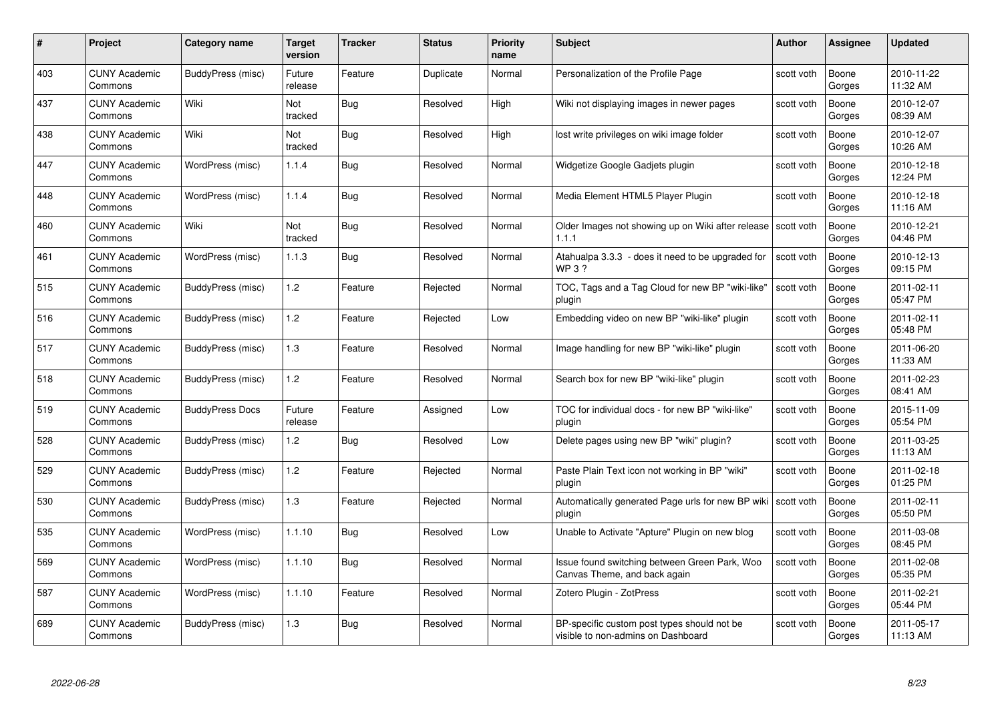| #   | Project                         | <b>Category name</b>   | Target<br>version | <b>Tracker</b> | <b>Status</b> | <b>Priority</b><br>name | <b>Subject</b>                                                                    | <b>Author</b> | <b>Assignee</b> | <b>Updated</b>         |
|-----|---------------------------------|------------------------|-------------------|----------------|---------------|-------------------------|-----------------------------------------------------------------------------------|---------------|-----------------|------------------------|
| 403 | <b>CUNY Academic</b><br>Commons | BuddyPress (misc)      | Future<br>release | Feature        | Duplicate     | Normal                  | Personalization of the Profile Page                                               | scott voth    | Boone<br>Gorges | 2010-11-22<br>11:32 AM |
| 437 | <b>CUNY Academic</b><br>Commons | Wiki                   | Not<br>tracked    | Bug            | Resolved      | High                    | Wiki not displaying images in newer pages                                         | scott voth    | Boone<br>Gorges | 2010-12-07<br>08:39 AM |
| 438 | <b>CUNY Academic</b><br>Commons | Wiki                   | Not<br>tracked    | Bug            | Resolved      | High                    | lost write privileges on wiki image folder                                        | scott voth    | Boone<br>Gorges | 2010-12-07<br>10:26 AM |
| 447 | <b>CUNY Academic</b><br>Commons | WordPress (misc)       | 1.1.4             | Bug            | Resolved      | Normal                  | Widgetize Google Gadjets plugin                                                   | scott voth    | Boone<br>Gorges | 2010-12-18<br>12:24 PM |
| 448 | <b>CUNY Academic</b><br>Commons | WordPress (misc)       | 1.1.4             | Bug            | Resolved      | Normal                  | Media Element HTML5 Player Plugin                                                 | scott voth    | Boone<br>Gorges | 2010-12-18<br>11:16 AM |
| 460 | <b>CUNY Academic</b><br>Commons | Wiki                   | Not<br>tracked    | Bug            | Resolved      | Normal                  | Older Images not showing up on Wiki after release Scott voth<br>1.1.1             |               | Boone<br>Gorges | 2010-12-21<br>04:46 PM |
| 461 | <b>CUNY Academic</b><br>Commons | WordPress (misc)       | 1.1.3             | <b>Bug</b>     | Resolved      | Normal                  | Atahualpa 3.3.3 - does it need to be upgraded for<br>WP 3?                        | scott voth    | Boone<br>Gorges | 2010-12-13<br>09:15 PM |
| 515 | <b>CUNY Academic</b><br>Commons | BuddyPress (misc)      | 1.2               | Feature        | Rejected      | Normal                  | TOC, Tags and a Tag Cloud for new BP "wiki-like"<br>plugin                        | scott voth    | Boone<br>Gorges | 2011-02-11<br>05:47 PM |
| 516 | <b>CUNY Academic</b><br>Commons | BuddyPress (misc)      | 1.2               | Feature        | Rejected      | Low                     | Embedding video on new BP "wiki-like" plugin                                      | scott voth    | Boone<br>Gorges | 2011-02-11<br>05:48 PM |
| 517 | <b>CUNY Academic</b><br>Commons | BuddyPress (misc)      | 1.3               | Feature        | Resolved      | Normal                  | Image handling for new BP "wiki-like" plugin                                      | scott voth    | Boone<br>Gorges | 2011-06-20<br>11:33 AM |
| 518 | CUNY Academic<br>Commons        | BuddyPress (misc)      | 1.2               | Feature        | Resolved      | Normal                  | Search box for new BP "wiki-like" plugin                                          | scott voth    | Boone<br>Gorges | 2011-02-23<br>08:41 AM |
| 519 | <b>CUNY Academic</b><br>Commons | <b>BuddyPress Docs</b> | Future<br>release | Feature        | Assigned      | Low                     | TOC for individual docs - for new BP "wiki-like"<br>plugin                        | scott voth    | Boone<br>Gorges | 2015-11-09<br>05:54 PM |
| 528 | <b>CUNY Academic</b><br>Commons | BuddyPress (misc)      | 1.2               | <b>Bug</b>     | Resolved      | Low                     | Delete pages using new BP "wiki" plugin?                                          | scott voth    | Boone<br>Gorges | 2011-03-25<br>11:13 AM |
| 529 | <b>CUNY Academic</b><br>Commons | BuddyPress (misc)      | 1.2               | Feature        | Rejected      | Normal                  | Paste Plain Text icon not working in BP "wiki"<br>plugin                          | scott voth    | Boone<br>Gorges | 2011-02-18<br>01:25 PM |
| 530 | <b>CUNY Academic</b><br>Commons | BuddyPress (misc)      | 1.3               | Feature        | Rejected      | Normal                  | Automatically generated Page urls for new BP wiki Scott voth<br>plugin            |               | Boone<br>Gorges | 2011-02-11<br>05:50 PM |
| 535 | <b>CUNY Academic</b><br>Commons | WordPress (misc)       | 1.1.10            | <b>Bug</b>     | Resolved      | Low                     | Unable to Activate "Apture" Plugin on new blog                                    | scott voth    | Boone<br>Gorges | 2011-03-08<br>08:45 PM |
| 569 | <b>CUNY Academic</b><br>Commons | WordPress (misc)       | 1.1.10            | <b>Bug</b>     | Resolved      | Normal                  | Issue found switching between Green Park, Woo<br>Canvas Theme, and back again     | scott voth    | Boone<br>Gorges | 2011-02-08<br>05:35 PM |
| 587 | <b>CUNY Academic</b><br>Commons | WordPress (misc)       | 1.1.10            | Feature        | Resolved      | Normal                  | Zotero Plugin - ZotPress                                                          | scott voth    | Boone<br>Gorges | 2011-02-21<br>05:44 PM |
| 689 | <b>CUNY Academic</b><br>Commons | BuddyPress (misc)      | 1.3               | <b>Bug</b>     | Resolved      | Normal                  | BP-specific custom post types should not be<br>visible to non-admins on Dashboard | scott voth    | Boone<br>Gorges | 2011-05-17<br>11:13 AM |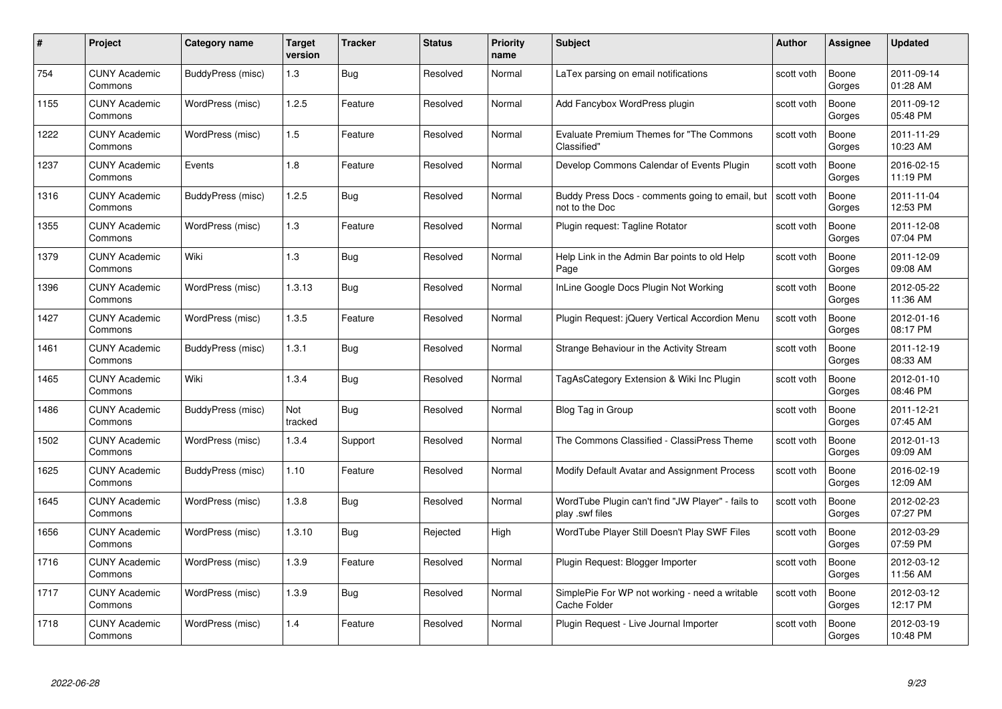| #    | Project                         | <b>Category name</b> | Target<br>version | <b>Tracker</b> | <b>Status</b> | <b>Priority</b><br>name | <b>Subject</b>                                                       | <b>Author</b> | <b>Assignee</b> | <b>Updated</b>         |
|------|---------------------------------|----------------------|-------------------|----------------|---------------|-------------------------|----------------------------------------------------------------------|---------------|-----------------|------------------------|
| 754  | <b>CUNY Academic</b><br>Commons | BuddyPress (misc)    | 1.3               | Bug            | Resolved      | Normal                  | LaTex parsing on email notifications                                 | scott voth    | Boone<br>Gorges | 2011-09-14<br>01:28 AM |
| 1155 | <b>CUNY Academic</b><br>Commons | WordPress (misc)     | 1.2.5             | Feature        | Resolved      | Normal                  | Add Fancybox WordPress plugin                                        | scott voth    | Boone<br>Gorges | 2011-09-12<br>05:48 PM |
| 1222 | <b>CUNY Academic</b><br>Commons | WordPress (misc)     | 1.5               | Feature        | Resolved      | Normal                  | Evaluate Premium Themes for "The Commons"<br>Classified"             | scott voth    | Boone<br>Gorges | 2011-11-29<br>10:23 AM |
| 1237 | <b>CUNY Academic</b><br>Commons | Events               | 1.8               | Feature        | Resolved      | Normal                  | Develop Commons Calendar of Events Plugin                            | scott voth    | Boone<br>Gorges | 2016-02-15<br>11:19 PM |
| 1316 | CUNY Academic<br>Commons        | BuddyPress (misc)    | 1.2.5             | Bug            | Resolved      | Normal                  | Buddy Press Docs - comments going to email, but<br>not to the Doc    | scott voth    | Boone<br>Gorges | 2011-11-04<br>12:53 PM |
| 1355 | <b>CUNY Academic</b><br>Commons | WordPress (misc)     | 1.3               | Feature        | Resolved      | Normal                  | Plugin request: Tagline Rotator                                      | scott voth    | Boone<br>Gorges | 2011-12-08<br>07:04 PM |
| 1379 | <b>CUNY Academic</b><br>Commons | Wiki                 | 1.3               | Bug            | Resolved      | Normal                  | Help Link in the Admin Bar points to old Help<br>Page                | scott voth    | Boone<br>Gorges | 2011-12-09<br>09:08 AM |
| 1396 | <b>CUNY Academic</b><br>Commons | WordPress (misc)     | 1.3.13            | Bug            | Resolved      | Normal                  | InLine Google Docs Plugin Not Working                                | scott voth    | Boone<br>Gorges | 2012-05-22<br>11:36 AM |
| 1427 | <b>CUNY Academic</b><br>Commons | WordPress (misc)     | 1.3.5             | Feature        | Resolved      | Normal                  | Plugin Request: jQuery Vertical Accordion Menu                       | scott voth    | Boone<br>Gorges | 2012-01-16<br>08:17 PM |
| 1461 | <b>CUNY Academic</b><br>Commons | BuddyPress (misc)    | 1.3.1             | Bug            | Resolved      | Normal                  | Strange Behaviour in the Activity Stream                             | scott voth    | Boone<br>Gorges | 2011-12-19<br>08:33 AM |
| 1465 | CUNY Academic<br>Commons        | Wiki                 | 1.3.4             | Bug            | Resolved      | Normal                  | TagAsCategory Extension & Wiki Inc Plugin                            | scott voth    | Boone<br>Gorges | 2012-01-10<br>08:46 PM |
| 1486 | <b>CUNY Academic</b><br>Commons | BuddyPress (misc)    | Not<br>tracked    | <b>Bug</b>     | Resolved      | Normal                  | Blog Tag in Group                                                    | scott voth    | Boone<br>Gorges | 2011-12-21<br>07:45 AM |
| 1502 | <b>CUNY Academic</b><br>Commons | WordPress (misc)     | 1.3.4             | Support        | Resolved      | Normal                  | The Commons Classified - ClassiPress Theme                           | scott voth    | Boone<br>Gorges | 2012-01-13<br>09:09 AM |
| 1625 | <b>CUNY Academic</b><br>Commons | BuddyPress (misc)    | 1.10              | Feature        | Resolved      | Normal                  | Modify Default Avatar and Assignment Process                         | scott voth    | Boone<br>Gorges | 2016-02-19<br>12:09 AM |
| 1645 | <b>CUNY Academic</b><br>Commons | WordPress (misc)     | 1.3.8             | <b>Bug</b>     | Resolved      | Normal                  | WordTube Plugin can't find "JW Player" - fails to<br>play .swf files | scott voth    | Boone<br>Gorges | 2012-02-23<br>07:27 PM |
| 1656 | <b>CUNY Academic</b><br>Commons | WordPress (misc)     | 1.3.10            | Bug            | Rejected      | High                    | WordTube Player Still Doesn't Play SWF Files                         | scott voth    | Boone<br>Gorges | 2012-03-29<br>07:59 PM |
| 1716 | <b>CUNY Academic</b><br>Commons | WordPress (misc)     | 1.3.9             | Feature        | Resolved      | Normal                  | Plugin Request: Blogger Importer                                     | scott voth    | Boone<br>Gorges | 2012-03-12<br>11:56 AM |
| 1717 | <b>CUNY Academic</b><br>Commons | WordPress (misc)     | 1.3.9             | <b>Bug</b>     | Resolved      | Normal                  | SimplePie For WP not working - need a writable<br>Cache Folder       | scott voth    | Boone<br>Gorges | 2012-03-12<br>12:17 PM |
| 1718 | CUNY Academic<br>Commons        | WordPress (misc)     | 1.4               | Feature        | Resolved      | Normal                  | Plugin Request - Live Journal Importer                               | scott voth    | Boone<br>Gorges | 2012-03-19<br>10:48 PM |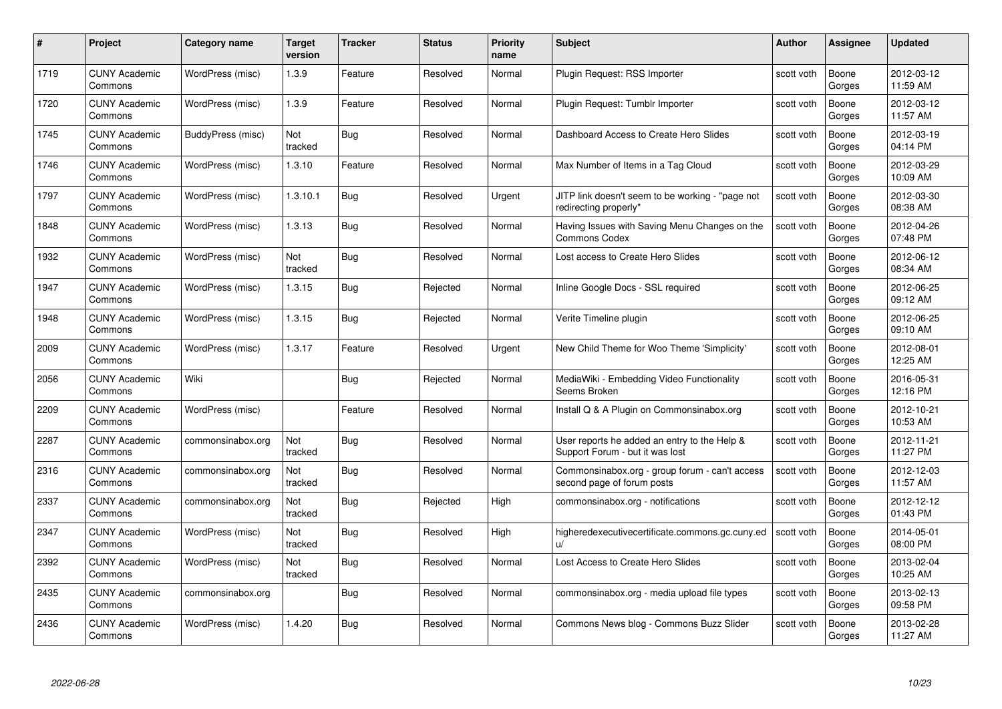| #    | Project                         | <b>Category name</b> | Target<br>version | <b>Tracker</b> | <b>Status</b> | <b>Priority</b><br>name | <b>Subject</b>                                                                  | <b>Author</b> | <b>Assignee</b> | <b>Updated</b>         |
|------|---------------------------------|----------------------|-------------------|----------------|---------------|-------------------------|---------------------------------------------------------------------------------|---------------|-----------------|------------------------|
| 1719 | <b>CUNY Academic</b><br>Commons | WordPress (misc)     | 1.3.9             | Feature        | Resolved      | Normal                  | Plugin Request: RSS Importer                                                    | scott voth    | Boone<br>Gorges | 2012-03-12<br>11:59 AM |
| 1720 | <b>CUNY Academic</b><br>Commons | WordPress (misc)     | 1.3.9             | Feature        | Resolved      | Normal                  | Plugin Request: Tumblr Importer                                                 | scott voth    | Boone<br>Gorges | 2012-03-12<br>11:57 AM |
| 1745 | <b>CUNY Academic</b><br>Commons | BuddyPress (misc)    | Not<br>tracked    | <b>Bug</b>     | Resolved      | Normal                  | Dashboard Access to Create Hero Slides                                          | scott voth    | Boone<br>Gorges | 2012-03-19<br>04:14 PM |
| 1746 | <b>CUNY Academic</b><br>Commons | WordPress (misc)     | 1.3.10            | Feature        | Resolved      | Normal                  | Max Number of Items in a Tag Cloud                                              | scott voth    | Boone<br>Gorges | 2012-03-29<br>10:09 AM |
| 1797 | <b>CUNY Academic</b><br>Commons | WordPress (misc)     | 1.3.10.1          | <b>Bug</b>     | Resolved      | Urgent                  | JITP link doesn't seem to be working - "page not<br>redirecting properly"       | scott voth    | Boone<br>Gorges | 2012-03-30<br>08:38 AM |
| 1848 | <b>CUNY Academic</b><br>Commons | WordPress (misc)     | 1.3.13            | Bug            | Resolved      | Normal                  | Having Issues with Saving Menu Changes on the<br><b>Commons Codex</b>           | scott voth    | Boone<br>Gorges | 2012-04-26<br>07:48 PM |
| 1932 | <b>CUNY Academic</b><br>Commons | WordPress (misc)     | Not<br>tracked    | Bug            | Resolved      | Normal                  | Lost access to Create Hero Slides                                               | scott voth    | Boone<br>Gorges | 2012-06-12<br>08:34 AM |
| 1947 | <b>CUNY Academic</b><br>Commons | WordPress (misc)     | 1.3.15            | <b>Bug</b>     | Rejected      | Normal                  | Inline Google Docs - SSL required                                               | scott voth    | Boone<br>Gorges | 2012-06-25<br>09:12 AM |
| 1948 | <b>CUNY Academic</b><br>Commons | WordPress (misc)     | 1.3.15            | <b>Bug</b>     | Rejected      | Normal                  | Verite Timeline plugin                                                          | scott voth    | Boone<br>Gorges | 2012-06-25<br>09:10 AM |
| 2009 | <b>CUNY Academic</b><br>Commons | WordPress (misc)     | 1.3.17            | Feature        | Resolved      | Urgent                  | New Child Theme for Woo Theme 'Simplicity'                                      | scott voth    | Boone<br>Gorges | 2012-08-01<br>12:25 AM |
| 2056 | CUNY Academic<br>Commons        | Wiki                 |                   | Bug            | Rejected      | Normal                  | MediaWiki - Embedding Video Functionality<br>Seems Broken                       | scott voth    | Boone<br>Gorges | 2016-05-31<br>12:16 PM |
| 2209 | <b>CUNY Academic</b><br>Commons | WordPress (misc)     |                   | Feature        | Resolved      | Normal                  | Install Q & A Plugin on Commonsinabox.org                                       | scott voth    | Boone<br>Gorges | 2012-10-21<br>10:53 AM |
| 2287 | <b>CUNY Academic</b><br>Commons | commonsinabox.org    | Not<br>tracked    | Bug            | Resolved      | Normal                  | User reports he added an entry to the Help &<br>Support Forum - but it was lost | scott voth    | Boone<br>Gorges | 2012-11-21<br>11:27 PM |
| 2316 | <b>CUNY Academic</b><br>Commons | commonsinabox.org    | Not<br>tracked    | <b>Bug</b>     | Resolved      | Normal                  | Commonsinabox.org - group forum - can't access<br>second page of forum posts    | scott voth    | Boone<br>Gorges | 2012-12-03<br>11:57 AM |
| 2337 | <b>CUNY Academic</b><br>Commons | commonsinabox.org    | Not<br>tracked    | Bug            | Rejected      | High                    | commonsinabox.org - notifications                                               | scott voth    | Boone<br>Gorges | 2012-12-12<br>01:43 PM |
| 2347 | <b>CUNY Academic</b><br>Commons | WordPress (misc)     | Not<br>tracked    | Bug            | Resolved      | High                    | higheredexecutivecertificate.commons.gc.cuny.ed<br>$\mathbf{u}$                 | scott voth    | Boone<br>Gorges | 2014-05-01<br>08:00 PM |
| 2392 | <b>CUNY Academic</b><br>Commons | WordPress (misc)     | Not<br>tracked    | Bug            | Resolved      | Normal                  | Lost Access to Create Hero Slides                                               | scott voth    | Boone<br>Gorges | 2013-02-04<br>10:25 AM |
| 2435 | <b>CUNY Academic</b><br>Commons | commonsinabox.org    |                   | Bug            | Resolved      | Normal                  | commonsinabox.org - media upload file types                                     | scott voth    | Boone<br>Gorges | 2013-02-13<br>09:58 PM |
| 2436 | <b>CUNY Academic</b><br>Commons | WordPress (misc)     | 1.4.20            | Bug            | Resolved      | Normal                  | Commons News blog - Commons Buzz Slider                                         | scott voth    | Boone<br>Gorges | 2013-02-28<br>11:27 AM |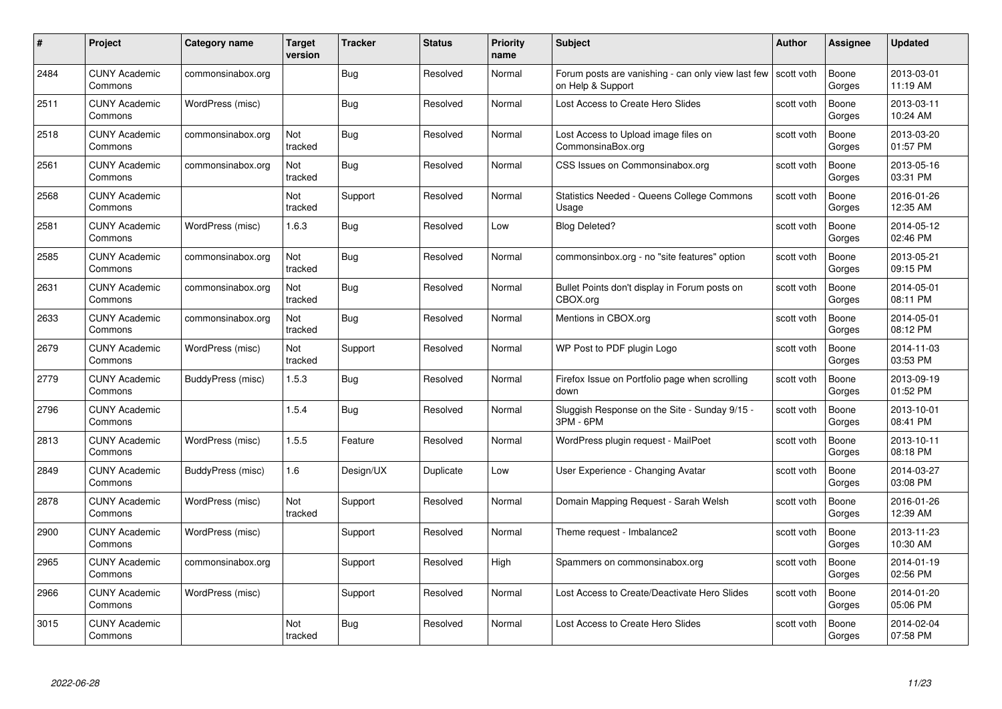| #    | Project                         | <b>Category name</b> | Target<br>version     | <b>Tracker</b> | <b>Status</b> | <b>Priority</b><br>name | <b>Subject</b>                                                          | <b>Author</b> | <b>Assignee</b> | <b>Updated</b>         |
|------|---------------------------------|----------------------|-----------------------|----------------|---------------|-------------------------|-------------------------------------------------------------------------|---------------|-----------------|------------------------|
| 2484 | <b>CUNY Academic</b><br>Commons | commonsinabox.org    |                       | Bug            | Resolved      | Normal                  | Forum posts are vanishing - can only view last few<br>on Help & Support | scott voth    | Boone<br>Gorges | 2013-03-01<br>11:19 AM |
| 2511 | <b>CUNY Academic</b><br>Commons | WordPress (misc)     |                       | Bug            | Resolved      | Normal                  | Lost Access to Create Hero Slides                                       | scott voth    | Boone<br>Gorges | 2013-03-11<br>10:24 AM |
| 2518 | <b>CUNY Academic</b><br>Commons | commonsinabox.org    | Not<br>tracked        | Bug            | Resolved      | Normal                  | Lost Access to Upload image files on<br>CommonsinaBox.org               | scott voth    | Boone<br>Gorges | 2013-03-20<br>01:57 PM |
| 2561 | <b>CUNY Academic</b><br>Commons | commonsinabox.org    | Not<br>tracked        | <b>Bug</b>     | Resolved      | Normal                  | CSS Issues on Commonsinabox.org                                         | scott voth    | Boone<br>Gorges | 2013-05-16<br>03:31 PM |
| 2568 | <b>CUNY Academic</b><br>Commons |                      | Not<br>tracked        | Support        | Resolved      | Normal                  | Statistics Needed - Queens College Commons<br>Usage                     | scott voth    | Boone<br>Gorges | 2016-01-26<br>12:35 AM |
| 2581 | <b>CUNY Academic</b><br>Commons | WordPress (misc)     | 1.6.3                 | Bug            | Resolved      | Low                     | <b>Blog Deleted?</b>                                                    | scott voth    | Boone<br>Gorges | 2014-05-12<br>02:46 PM |
| 2585 | <b>CUNY Academic</b><br>Commons | commonsinabox.org    | Not<br>tracked        | Bug            | Resolved      | Normal                  | commonsinbox.org - no "site features" option                            | scott voth    | Boone<br>Gorges | 2013-05-21<br>09:15 PM |
| 2631 | <b>CUNY Academic</b><br>Commons | commonsinabox.org    | Not<br>tracked        | <b>Bug</b>     | Resolved      | Normal                  | Bullet Points don't display in Forum posts on<br>CBOX.org               | scott voth    | Boone<br>Gorges | 2014-05-01<br>08:11 PM |
| 2633 | <b>CUNY Academic</b><br>Commons | commonsinabox.org    | Not<br>tracked        | <b>Bug</b>     | Resolved      | Normal                  | Mentions in CBOX.org                                                    | scott voth    | Boone<br>Gorges | 2014-05-01<br>08:12 PM |
| 2679 | <b>CUNY Academic</b><br>Commons | WordPress (misc)     | Not<br>tracked        | Support        | Resolved      | Normal                  | WP Post to PDF plugin Logo                                              | scott voth    | Boone<br>Gorges | 2014-11-03<br>03:53 PM |
| 2779 | CUNY Academic<br>Commons        | BuddyPress (misc)    | 1.5.3                 | Bug            | Resolved      | Normal                  | Firefox Issue on Portfolio page when scrolling<br>down                  | scott voth    | Boone<br>Gorges | 2013-09-19<br>01:52 PM |
| 2796 | <b>CUNY Academic</b><br>Commons |                      | 1.5.4                 | <b>Bug</b>     | Resolved      | Normal                  | Sluggish Response on the Site - Sunday 9/15 -<br>3PM - 6PM              | scott voth    | Boone<br>Gorges | 2013-10-01<br>08:41 PM |
| 2813 | <b>CUNY Academic</b><br>Commons | WordPress (misc)     | 1.5.5                 | Feature        | Resolved      | Normal                  | WordPress plugin request - MailPoet                                     | scott voth    | Boone<br>Gorges | 2013-10-11<br>08:18 PM |
| 2849 | <b>CUNY Academic</b><br>Commons | BuddyPress (misc)    | 1.6                   | Design/UX      | Duplicate     | Low                     | User Experience - Changing Avatar                                       | scott voth    | Boone<br>Gorges | 2014-03-27<br>03:08 PM |
| 2878 | <b>CUNY Academic</b><br>Commons | WordPress (misc)     | Not<br>tracked        | Support        | Resolved      | Normal                  | Domain Mapping Request - Sarah Welsh                                    | scott voth    | Boone<br>Gorges | 2016-01-26<br>12:39 AM |
| 2900 | <b>CUNY Academic</b><br>Commons | WordPress (misc)     |                       | Support        | Resolved      | Normal                  | Theme request - Imbalance2                                              | scott voth    | Boone<br>Gorges | 2013-11-23<br>10:30 AM |
| 2965 | <b>CUNY Academic</b><br>Commons | commonsinabox.org    |                       | Support        | Resolved      | High                    | Spammers on commonsinabox.org                                           | scott voth    | Boone<br>Gorges | 2014-01-19<br>02:56 PM |
| 2966 | <b>CUNY Academic</b><br>Commons | WordPress (misc)     |                       | Support        | Resolved      | Normal                  | Lost Access to Create/Deactivate Hero Slides                            | scott voth    | Boone<br>Gorges | 2014-01-20<br>05:06 PM |
| 3015 | <b>CUNY Academic</b><br>Commons |                      | <b>Not</b><br>tracked | Bug            | Resolved      | Normal                  | Lost Access to Create Hero Slides                                       | scott voth    | Boone<br>Gorges | 2014-02-04<br>07:58 PM |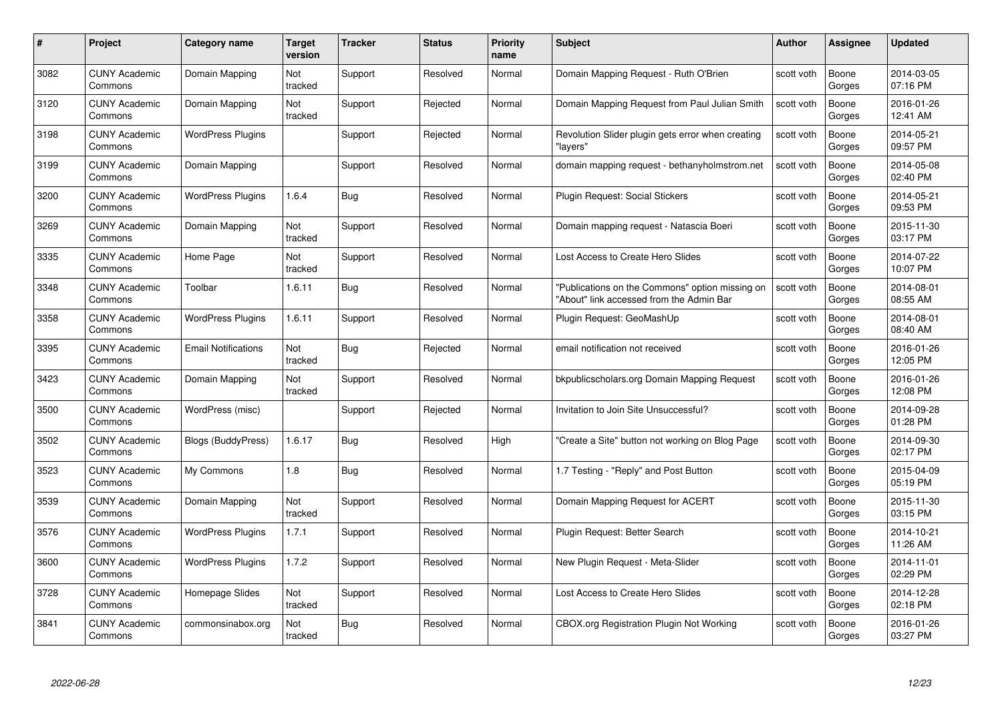| #    | Project                         | <b>Category name</b>       | Target<br>version | <b>Tracker</b> | <b>Status</b> | <b>Priority</b><br>name | <b>Subject</b>                                                                              | <b>Author</b> | <b>Assignee</b> | <b>Updated</b>         |
|------|---------------------------------|----------------------------|-------------------|----------------|---------------|-------------------------|---------------------------------------------------------------------------------------------|---------------|-----------------|------------------------|
| 3082 | <b>CUNY Academic</b><br>Commons | Domain Mapping             | Not<br>tracked    | Support        | Resolved      | Normal                  | Domain Mapping Request - Ruth O'Brien                                                       | scott voth    | Boone<br>Gorges | 2014-03-05<br>07:16 PM |
| 3120 | <b>CUNY Academic</b><br>Commons | Domain Mapping             | Not<br>tracked    | Support        | Rejected      | Normal                  | Domain Mapping Request from Paul Julian Smith                                               | scott voth    | Boone<br>Gorges | 2016-01-26<br>12:41 AM |
| 3198 | <b>CUNY Academic</b><br>Commons | <b>WordPress Plugins</b>   |                   | Support        | Rejected      | Normal                  | Revolution Slider plugin gets error when creating<br>"lavers"                               | scott voth    | Boone<br>Gorges | 2014-05-21<br>09:57 PM |
| 3199 | <b>CUNY Academic</b><br>Commons | Domain Mapping             |                   | Support        | Resolved      | Normal                  | domain mapping request - bethanyholmstrom.net                                               | scott voth    | Boone<br>Gorges | 2014-05-08<br>02:40 PM |
| 3200 | CUNY Academic<br>Commons        | <b>WordPress Plugins</b>   | 1.6.4             | Bug            | Resolved      | Normal                  | <b>Plugin Request: Social Stickers</b>                                                      | scott voth    | Boone<br>Gorges | 2014-05-21<br>09:53 PM |
| 3269 | <b>CUNY Academic</b><br>Commons | Domain Mapping             | Not<br>tracked    | Support        | Resolved      | Normal                  | Domain mapping request - Natascia Boeri                                                     | scott voth    | Boone<br>Gorges | 2015-11-30<br>03:17 PM |
| 3335 | <b>CUNY Academic</b><br>Commons | Home Page                  | Not<br>tracked    | Support        | Resolved      | Normal                  | Lost Access to Create Hero Slides                                                           | scott voth    | Boone<br>Gorges | 2014-07-22<br>10:07 PM |
| 3348 | <b>CUNY Academic</b><br>Commons | Toolbar                    | 1.6.11            | Bug            | Resolved      | Normal                  | "Publications on the Commons" option missing on<br>"About" link accessed from the Admin Bar | scott voth    | Boone<br>Gorges | 2014-08-01<br>08:55 AM |
| 3358 | <b>CUNY Academic</b><br>Commons | <b>WordPress Plugins</b>   | 1.6.11            | Support        | Resolved      | Normal                  | Plugin Request: GeoMashUp                                                                   | scott voth    | Boone<br>Gorges | 2014-08-01<br>08:40 AM |
| 3395 | <b>CUNY Academic</b><br>Commons | <b>Email Notifications</b> | Not<br>tracked    | <b>Bug</b>     | Rejected      | Normal                  | email notification not received                                                             | scott voth    | Boone<br>Gorges | 2016-01-26<br>12:05 PM |
| 3423 | CUNY Academic<br>Commons        | Domain Mapping             | Not<br>tracked    | Support        | Resolved      | Normal                  | bkpublicscholars.org Domain Mapping Request                                                 | scott voth    | Boone<br>Gorges | 2016-01-26<br>12:08 PM |
| 3500 | <b>CUNY Academic</b><br>Commons | WordPress (misc)           |                   | Support        | Rejected      | Normal                  | Invitation to Join Site Unsuccessful?                                                       | scott voth    | Boone<br>Gorges | 2014-09-28<br>01:28 PM |
| 3502 | <b>CUNY Academic</b><br>Commons | <b>Blogs (BuddyPress)</b>  | 1.6.17            | Bug            | Resolved      | High                    | "Create a Site" button not working on Blog Page                                             | scott voth    | Boone<br>Gorges | 2014-09-30<br>02:17 PM |
| 3523 | <b>CUNY Academic</b><br>Commons | My Commons                 | 1.8               | <b>Bug</b>     | Resolved      | Normal                  | 1.7 Testing - "Reply" and Post Button                                                       | scott voth    | Boone<br>Gorges | 2015-04-09<br>05:19 PM |
| 3539 | <b>CUNY Academic</b><br>Commons | Domain Mapping             | Not<br>tracked    | Support        | Resolved      | Normal                  | Domain Mapping Request for ACERT                                                            | scott voth    | Boone<br>Gorges | 2015-11-30<br>03:15 PM |
| 3576 | <b>CUNY Academic</b><br>Commons | <b>WordPress Plugins</b>   | 1.7.1             | Support        | Resolved      | Normal                  | Plugin Request: Better Search                                                               | scott voth    | Boone<br>Gorges | 2014-10-21<br>11:26 AM |
| 3600 | <b>CUNY Academic</b><br>Commons | <b>WordPress Plugins</b>   | 1.7.2             | Support        | Resolved      | Normal                  | New Plugin Request - Meta-Slider                                                            | scott voth    | Boone<br>Gorges | 2014-11-01<br>02:29 PM |
| 3728 | <b>CUNY Academic</b><br>Commons | Homepage Slides            | Not<br>tracked    | Support        | Resolved      | Normal                  | Lost Access to Create Hero Slides                                                           | scott voth    | Boone<br>Gorges | 2014-12-28<br>02:18 PM |
| 3841 | CUNY Academic<br>Commons        | commonsinabox.org          | Not<br>tracked    | <b>Bug</b>     | Resolved      | Normal                  | CBOX.org Registration Plugin Not Working                                                    | scott voth    | Boone<br>Gorges | 2016-01-26<br>03:27 PM |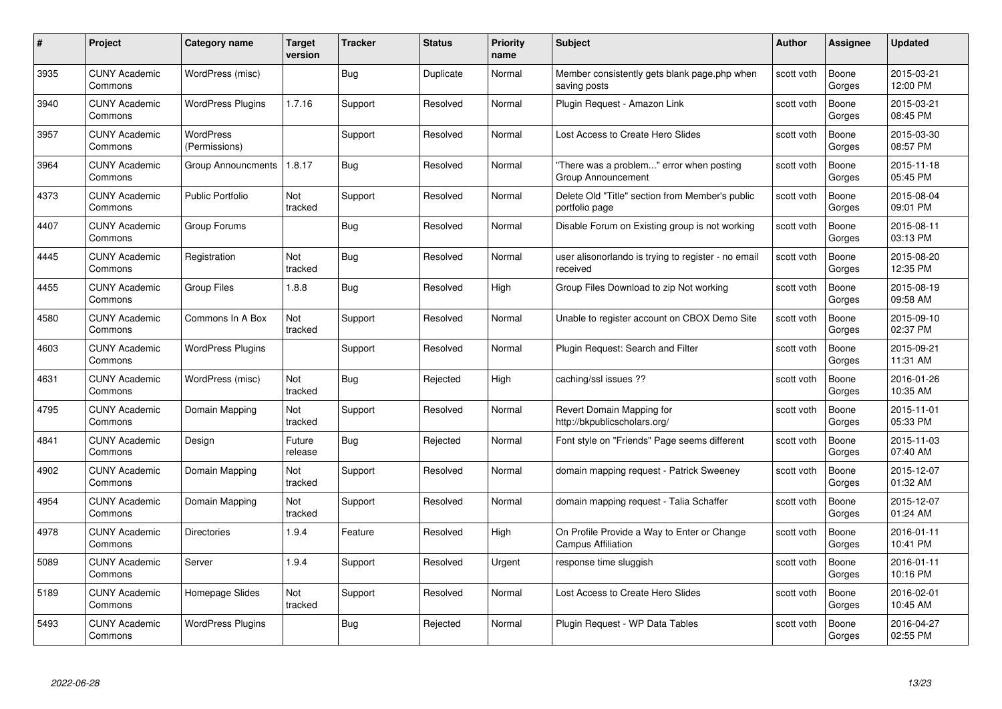| #    | Project                         | Category name                     | Target<br>version | <b>Tracker</b> | <b>Status</b> | <b>Priority</b><br>name | <b>Subject</b>                                                           | Author     | <b>Assignee</b> | <b>Updated</b>         |
|------|---------------------------------|-----------------------------------|-------------------|----------------|---------------|-------------------------|--------------------------------------------------------------------------|------------|-----------------|------------------------|
| 3935 | <b>CUNY Academic</b><br>Commons | WordPress (misc)                  |                   | Bug            | Duplicate     | Normal                  | Member consistently gets blank page.php when<br>saving posts             | scott voth | Boone<br>Gorges | 2015-03-21<br>12:00 PM |
| 3940 | <b>CUNY Academic</b><br>Commons | <b>WordPress Plugins</b>          | 1.7.16            | Support        | Resolved      | Normal                  | Plugin Request - Amazon Link                                             | scott voth | Boone<br>Gorges | 2015-03-21<br>08:45 PM |
| 3957 | <b>CUNY Academic</b><br>Commons | <b>WordPress</b><br>(Permissions) |                   | Support        | Resolved      | Normal                  | Lost Access to Create Hero Slides                                        | scott voth | Boone<br>Gorges | 2015-03-30<br>08:57 PM |
| 3964 | <b>CUNY Academic</b><br>Commons | Group Announcments                | 1.8.17            | Bug            | Resolved      | Normal                  | "There was a problem" error when posting<br>Group Announcement           | scott voth | Boone<br>Gorges | 2015-11-18<br>05:45 PM |
| 4373 | <b>CUNY Academic</b><br>Commons | Public Portfolio                  | Not<br>tracked    | Support        | Resolved      | Normal                  | Delete Old "Title" section from Member's public<br>portfolio page        | scott voth | Boone<br>Gorges | 2015-08-04<br>09:01 PM |
| 4407 | <b>CUNY Academic</b><br>Commons | Group Forums                      |                   | <b>Bug</b>     | Resolved      | Normal                  | Disable Forum on Existing group is not working                           | scott voth | Boone<br>Gorges | 2015-08-11<br>03:13 PM |
| 4445 | <b>CUNY Academic</b><br>Commons | Registration                      | Not<br>tracked    | Bug            | Resolved      | Normal                  | user alisonorlando is trying to register - no email<br>received          | scott voth | Boone<br>Gorges | 2015-08-20<br>12:35 PM |
| 4455 | <b>CUNY Academic</b><br>Commons | <b>Group Files</b>                | 1.8.8             | Bug            | Resolved      | High                    | Group Files Download to zip Not working                                  | scott voth | Boone<br>Gorges | 2015-08-19<br>09:58 AM |
| 4580 | <b>CUNY Academic</b><br>Commons | Commons In A Box                  | Not<br>tracked    | Support        | Resolved      | Normal                  | Unable to register account on CBOX Demo Site                             | scott voth | Boone<br>Gorges | 2015-09-10<br>02:37 PM |
| 4603 | <b>CUNY Academic</b><br>Commons | <b>WordPress Plugins</b>          |                   | Support        | Resolved      | Normal                  | Plugin Request: Search and Filter                                        | scott voth | Boone<br>Gorges | 2015-09-21<br>11:31 AM |
| 4631 | <b>CUNY Academic</b><br>Commons | WordPress (misc)                  | Not<br>tracked    | Bug            | Rejected      | High                    | caching/ssl issues ??                                                    | scott voth | Boone<br>Gorges | 2016-01-26<br>10:35 AM |
| 4795 | <b>CUNY Academic</b><br>Commons | Domain Mapping                    | Not<br>tracked    | Support        | Resolved      | Normal                  | Revert Domain Mapping for<br>http://bkpublicscholars.org/                | scott voth | Boone<br>Gorges | 2015-11-01<br>05:33 PM |
| 4841 | <b>CUNY Academic</b><br>Commons | Design                            | Future<br>release | <b>Bug</b>     | Rejected      | Normal                  | Font style on "Friends" Page seems different                             | scott voth | Boone<br>Gorges | 2015-11-03<br>07:40 AM |
| 4902 | <b>CUNY Academic</b><br>Commons | Domain Mapping                    | Not<br>tracked    | Support        | Resolved      | Normal                  | domain mapping request - Patrick Sweeney                                 | scott voth | Boone<br>Gorges | 2015-12-07<br>01:32 AM |
| 4954 | <b>CUNY Academic</b><br>Commons | Domain Mapping                    | Not<br>tracked    | Support        | Resolved      | Normal                  | domain mapping request - Talia Schaffer                                  | scott voth | Boone<br>Gorges | 2015-12-07<br>01:24 AM |
| 4978 | <b>CUNY Academic</b><br>Commons | <b>Directories</b>                | 1.9.4             | Feature        | Resolved      | High                    | On Profile Provide a Way to Enter or Change<br><b>Campus Affiliation</b> | scott voth | Boone<br>Gorges | 2016-01-11<br>10:41 PM |
| 5089 | <b>CUNY Academic</b><br>Commons | Server                            | 1.9.4             | Support        | Resolved      | Urgent                  | response time sluggish                                                   | scott voth | Boone<br>Gorges | 2016-01-11<br>10:16 PM |
| 5189 | <b>CUNY Academic</b><br>Commons | Homepage Slides                   | Not<br>tracked    | Support        | Resolved      | Normal                  | Lost Access to Create Hero Slides                                        | scott voth | Boone<br>Gorges | 2016-02-01<br>10:45 AM |
| 5493 | <b>CUNY Academic</b><br>Commons | <b>WordPress Plugins</b>          |                   | Bug            | Rejected      | Normal                  | Plugin Reguest - WP Data Tables                                          | scott voth | Boone<br>Gorges | 2016-04-27<br>02:55 PM |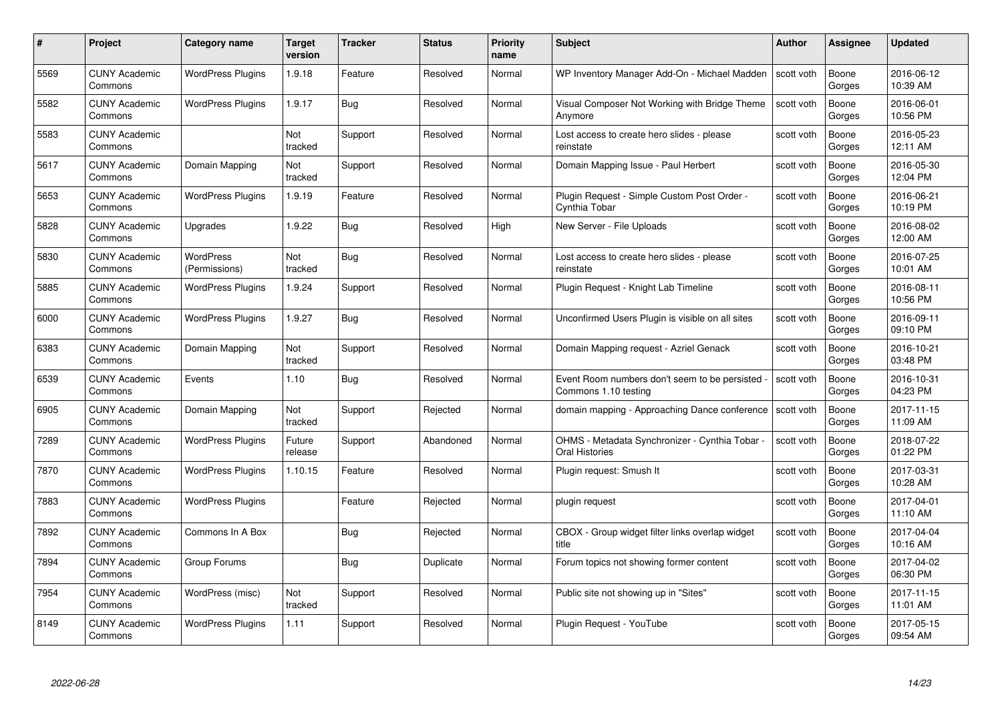| #    | Project                         | <b>Category name</b>       | Target<br>version | <b>Tracker</b> | <b>Status</b> | <b>Priority</b><br>name | <b>Subject</b>                                                          | <b>Author</b> | <b>Assignee</b> | <b>Updated</b>         |
|------|---------------------------------|----------------------------|-------------------|----------------|---------------|-------------------------|-------------------------------------------------------------------------|---------------|-----------------|------------------------|
| 5569 | <b>CUNY Academic</b><br>Commons | <b>WordPress Plugins</b>   | 1.9.18            | Feature        | Resolved      | Normal                  | WP Inventory Manager Add-On - Michael Madden                            | scott voth    | Boone<br>Gorges | 2016-06-12<br>10:39 AM |
| 5582 | <b>CUNY Academic</b><br>Commons | <b>WordPress Plugins</b>   | 1.9.17            | <b>Bug</b>     | Resolved      | Normal                  | Visual Composer Not Working with Bridge Theme<br>Anymore                | scott voth    | Boone<br>Gorges | 2016-06-01<br>10:56 PM |
| 5583 | <b>CUNY Academic</b><br>Commons |                            | Not<br>tracked    | Support        | Resolved      | Normal                  | Lost access to create hero slides - please<br>reinstate                 | scott voth    | Boone<br>Gorges | 2016-05-23<br>12:11 AM |
| 5617 | <b>CUNY Academic</b><br>Commons | Domain Mapping             | Not<br>tracked    | Support        | Resolved      | Normal                  | Domain Mapping Issue - Paul Herbert                                     | scott voth    | Boone<br>Gorges | 2016-05-30<br>12:04 PM |
| 5653 | CUNY Academic<br>Commons        | <b>WordPress Plugins</b>   | 1.9.19            | Feature        | Resolved      | Normal                  | Plugin Request - Simple Custom Post Order -<br>Cynthia Tobar            | scott voth    | Boone<br>Gorges | 2016-06-21<br>10:19 PM |
| 5828 | <b>CUNY Academic</b><br>Commons | Upgrades                   | 1.9.22            | Bug            | Resolved      | High                    | New Server - File Uploads                                               | scott voth    | Boone<br>Gorges | 2016-08-02<br>12:00 AM |
| 5830 | <b>CUNY Academic</b><br>Commons | WordPress<br>(Permissions) | Not<br>tracked    | Bug            | Resolved      | Normal                  | Lost access to create hero slides - please<br>reinstate                 | scott voth    | Boone<br>Gorges | 2016-07-25<br>10:01 AM |
| 5885 | <b>CUNY Academic</b><br>Commons | <b>WordPress Plugins</b>   | 1.9.24            | Support        | Resolved      | Normal                  | Plugin Request - Knight Lab Timeline                                    | scott voth    | Boone<br>Gorges | 2016-08-11<br>10:56 PM |
| 6000 | <b>CUNY Academic</b><br>Commons | <b>WordPress Plugins</b>   | 1.9.27            | <b>Bug</b>     | Resolved      | Normal                  | Unconfirmed Users Plugin is visible on all sites                        | scott voth    | Boone<br>Gorges | 2016-09-11<br>09:10 PM |
| 6383 | <b>CUNY Academic</b><br>Commons | Domain Mapping             | Not<br>tracked    | Support        | Resolved      | Normal                  | Domain Mapping request - Azriel Genack                                  | scott voth    | Boone<br>Gorges | 2016-10-21<br>03:48 PM |
| 6539 | CUNY Academic<br>Commons        | Events                     | 1.10              | Bug            | Resolved      | Normal                  | Event Room numbers don't seem to be persisted<br>Commons 1.10 testing   | scott voth    | Boone<br>Gorges | 2016-10-31<br>04:23 PM |
| 6905 | <b>CUNY Academic</b><br>Commons | Domain Mapping             | Not<br>tracked    | Support        | Rejected      | Normal                  | domain mapping - Approaching Dance conference                           | scott voth    | Boone<br>Gorges | 2017-11-15<br>11:09 AM |
| 7289 | <b>CUNY Academic</b><br>Commons | <b>WordPress Plugins</b>   | Future<br>release | Support        | Abandoned     | Normal                  | OHMS - Metadata Synchronizer - Cynthia Tobar -<br><b>Oral Histories</b> | scott voth    | Boone<br>Gorges | 2018-07-22<br>01:22 PM |
| 7870 | <b>CUNY Academic</b><br>Commons | <b>WordPress Plugins</b>   | 1.10.15           | Feature        | Resolved      | Normal                  | Plugin request: Smush It                                                | scott voth    | Boone<br>Gorges | 2017-03-31<br>10:28 AM |
| 7883 | <b>CUNY Academic</b><br>Commons | <b>WordPress Plugins</b>   |                   | Feature        | Rejected      | Normal                  | plugin request                                                          | scott voth    | Boone<br>Gorges | 2017-04-01<br>11:10 AM |
| 7892 | <b>CUNY Academic</b><br>Commons | Commons In A Box           |                   | Bug            | Rejected      | Normal                  | CBOX - Group widget filter links overlap widget<br>title                | scott voth    | Boone<br>Gorges | 2017-04-04<br>10:16 AM |
| 7894 | <b>CUNY Academic</b><br>Commons | Group Forums               |                   | <b>Bug</b>     | Duplicate     | Normal                  | Forum topics not showing former content                                 | scott voth    | Boone<br>Gorges | 2017-04-02<br>06:30 PM |
| 7954 | <b>CUNY Academic</b><br>Commons | WordPress (misc)           | Not<br>tracked    | Support        | Resolved      | Normal                  | Public site not showing up in "Sites"                                   | scott voth    | Boone<br>Gorges | 2017-11-15<br>11:01 AM |
| 8149 | CUNY Academic<br>Commons        | <b>WordPress Plugins</b>   | 1.11              | Support        | Resolved      | Normal                  | Plugin Reguest - YouTube                                                | scott voth    | Boone<br>Gorges | 2017-05-15<br>09:54 AM |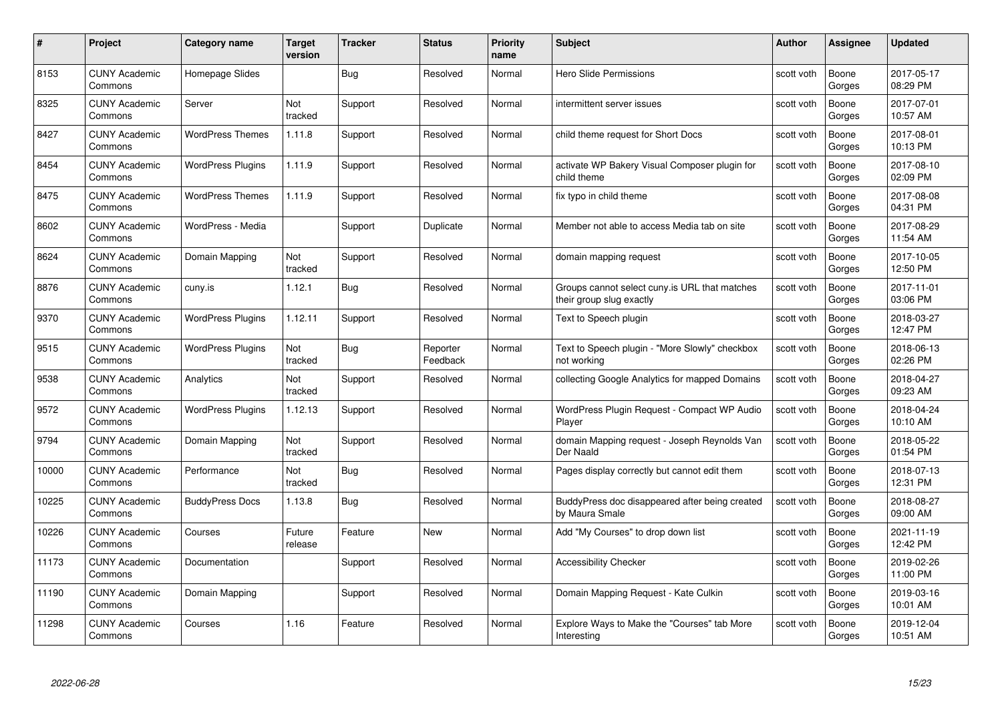| #     | Project                         | <b>Category name</b>     | <b>Target</b><br>version | <b>Tracker</b> | <b>Status</b>        | <b>Priority</b><br>name | <b>Subject</b>                                                            | <b>Author</b> | <b>Assignee</b> | <b>Updated</b>         |
|-------|---------------------------------|--------------------------|--------------------------|----------------|----------------------|-------------------------|---------------------------------------------------------------------------|---------------|-----------------|------------------------|
| 8153  | <b>CUNY Academic</b><br>Commons | Homepage Slides          |                          | Bug            | Resolved             | Normal                  | Hero Slide Permissions                                                    | scott voth    | Boone<br>Gorges | 2017-05-17<br>08:29 PM |
| 8325  | <b>CUNY Academic</b><br>Commons | Server                   | Not<br>tracked           | Support        | Resolved             | Normal                  | intermittent server issues                                                | scott voth    | Boone<br>Gorges | 2017-07-01<br>10:57 AM |
| 8427  | <b>CUNY Academic</b><br>Commons | <b>WordPress Themes</b>  | 1.11.8                   | Support        | Resolved             | Normal                  | child theme request for Short Docs                                        | scott voth    | Boone<br>Gorges | 2017-08-01<br>10:13 PM |
| 8454  | <b>CUNY Academic</b><br>Commons | <b>WordPress Plugins</b> | 1.11.9                   | Support        | Resolved             | Normal                  | activate WP Bakery Visual Composer plugin for<br>child theme              | scott voth    | Boone<br>Gorges | 2017-08-10<br>02:09 PM |
| 8475  | CUNY Academic<br>Commons        | <b>WordPress Themes</b>  | 1.11.9                   | Support        | Resolved             | Normal                  | fix typo in child theme                                                   | scott voth    | Boone<br>Gorges | 2017-08-08<br>04:31 PM |
| 8602  | <b>CUNY Academic</b><br>Commons | WordPress - Media        |                          | Support        | Duplicate            | Normal                  | Member not able to access Media tab on site                               | scott voth    | Boone<br>Gorges | 2017-08-29<br>11:54 AM |
| 8624  | <b>CUNY Academic</b><br>Commons | Domain Mapping           | Not<br>tracked           | Support        | Resolved             | Normal                  | domain mapping request                                                    | scott voth    | Boone<br>Gorges | 2017-10-05<br>12:50 PM |
| 8876  | <b>CUNY Academic</b><br>Commons | cuny.is                  | 1.12.1                   | <b>Bug</b>     | Resolved             | Normal                  | Groups cannot select cuny is URL that matches<br>their group slug exactly | scott voth    | Boone<br>Gorges | 2017-11-01<br>03:06 PM |
| 9370  | <b>CUNY Academic</b><br>Commons | <b>WordPress Plugins</b> | 1.12.11                  | Support        | Resolved             | Normal                  | Text to Speech plugin                                                     | scott voth    | Boone<br>Gorges | 2018-03-27<br>12:47 PM |
| 9515  | <b>CUNY Academic</b><br>Commons | <b>WordPress Plugins</b> | Not<br>tracked           | Bug            | Reporter<br>Feedback | Normal                  | Text to Speech plugin - "More Slowly" checkbox<br>not working             | scott voth    | Boone<br>Gorges | 2018-06-13<br>02:26 PM |
| 9538  | CUNY Academic<br>Commons        | Analytics                | Not<br>tracked           | Support        | Resolved             | Normal                  | collecting Google Analytics for mapped Domains                            | scott voth    | Boone<br>Gorges | 2018-04-27<br>09:23 AM |
| 9572  | <b>CUNY Academic</b><br>Commons | <b>WordPress Plugins</b> | 1.12.13                  | Support        | Resolved             | Normal                  | WordPress Plugin Request - Compact WP Audio<br>Player                     | scott voth    | Boone<br>Gorges | 2018-04-24<br>10:10 AM |
| 9794  | <b>CUNY Academic</b><br>Commons | Domain Mapping           | Not<br>tracked           | Support        | Resolved             | Normal                  | domain Mapping request - Joseph Reynolds Van<br>Der Naald                 | scott voth    | Boone<br>Gorges | 2018-05-22<br>01:54 PM |
| 10000 | <b>CUNY Academic</b><br>Commons | Performance              | Not<br>tracked           | Bug            | Resolved             | Normal                  | Pages display correctly but cannot edit them                              | scott voth    | Boone<br>Gorges | 2018-07-13<br>12:31 PM |
| 10225 | <b>CUNY Academic</b><br>Commons | <b>BuddyPress Docs</b>   | 1.13.8                   | <b>Bug</b>     | Resolved             | Normal                  | BuddyPress doc disappeared after being created<br>by Maura Smale          | scott voth    | Boone<br>Gorges | 2018-08-27<br>09:00 AM |
| 10226 | <b>CUNY Academic</b><br>Commons | Courses                  | Future<br>release        | Feature        | New                  | Normal                  | Add "My Courses" to drop down list                                        | scott voth    | Boone<br>Gorges | 2021-11-19<br>12:42 PM |
| 11173 | <b>CUNY Academic</b><br>Commons | Documentation            |                          | Support        | Resolved             | Normal                  | <b>Accessibility Checker</b>                                              | scott voth    | Boone<br>Gorges | 2019-02-26<br>11:00 PM |
| 11190 | <b>CUNY Academic</b><br>Commons | Domain Mapping           |                          | Support        | Resolved             | Normal                  | Domain Mapping Request - Kate Culkin                                      | scott voth    | Boone<br>Gorges | 2019-03-16<br>10:01 AM |
| 11298 | CUNY Academic<br>Commons        | Courses                  | 1.16                     | Feature        | Resolved             | Normal                  | Explore Ways to Make the "Courses" tab More<br>Interesting                | scott voth    | Boone<br>Gorges | 2019-12-04<br>10:51 AM |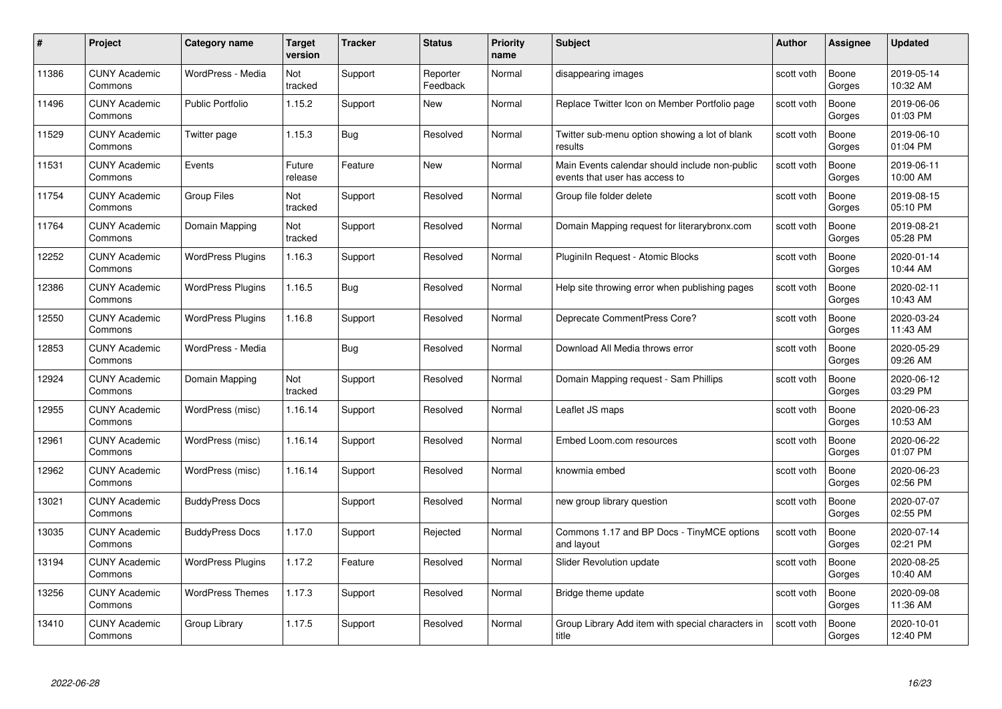| #     | Project                         | <b>Category name</b>     | Target<br>version | <b>Tracker</b> | <b>Status</b>        | <b>Priority</b><br>name | <b>Subject</b>                                                                   | <b>Author</b> | <b>Assignee</b> | <b>Updated</b>         |
|-------|---------------------------------|--------------------------|-------------------|----------------|----------------------|-------------------------|----------------------------------------------------------------------------------|---------------|-----------------|------------------------|
| 11386 | <b>CUNY Academic</b><br>Commons | WordPress - Media        | Not<br>tracked    | Support        | Reporter<br>Feedback | Normal                  | disappearing images                                                              | scott voth    | Boone<br>Gorges | 2019-05-14<br>10:32 AM |
| 11496 | <b>CUNY Academic</b><br>Commons | <b>Public Portfolio</b>  | 1.15.2            | Support        | New                  | Normal                  | Replace Twitter Icon on Member Portfolio page                                    | scott voth    | Boone<br>Gorges | 2019-06-06<br>01:03 PM |
| 11529 | <b>CUNY Academic</b><br>Commons | Twitter page             | 1.15.3            | Bug            | Resolved             | Normal                  | Twitter sub-menu option showing a lot of blank<br>results                        | scott voth    | Boone<br>Gorges | 2019-06-10<br>01:04 PM |
| 11531 | <b>CUNY Academic</b><br>Commons | Events                   | Future<br>release | Feature        | New                  | Normal                  | Main Events calendar should include non-public<br>events that user has access to | scott voth    | Boone<br>Gorges | 2019-06-11<br>10:00 AM |
| 11754 | <b>CUNY Academic</b><br>Commons | <b>Group Files</b>       | Not<br>tracked    | Support        | Resolved             | Normal                  | Group file folder delete                                                         | scott voth    | Boone<br>Gorges | 2019-08-15<br>05:10 PM |
| 11764 | <b>CUNY Academic</b><br>Commons | Domain Mapping           | Not<br>tracked    | Support        | Resolved             | Normal                  | Domain Mapping request for literarybronx.com                                     | scott voth    | Boone<br>Gorges | 2019-08-21<br>05:28 PM |
| 12252 | <b>CUNY Academic</b><br>Commons | <b>WordPress Plugins</b> | 1.16.3            | Support        | Resolved             | Normal                  | Pluginiln Request - Atomic Blocks                                                | scott voth    | Boone<br>Gorges | 2020-01-14<br>10:44 AM |
| 12386 | <b>CUNY Academic</b><br>Commons | <b>WordPress Plugins</b> | 1.16.5            | <b>Bug</b>     | Resolved             | Normal                  | Help site throwing error when publishing pages                                   | scott voth    | Boone<br>Gorges | 2020-02-11<br>10:43 AM |
| 12550 | <b>CUNY Academic</b><br>Commons | <b>WordPress Plugins</b> | 1.16.8            | Support        | Resolved             | Normal                  | Deprecate CommentPress Core?                                                     | scott voth    | Boone<br>Gorges | 2020-03-24<br>11:43 AM |
| 12853 | <b>CUNY Academic</b><br>Commons | WordPress - Media        |                   | Bug            | Resolved             | Normal                  | Download All Media throws error                                                  | scott voth    | Boone<br>Gorges | 2020-05-29<br>09:26 AM |
| 12924 | CUNY Academic<br>Commons        | Domain Mapping           | Not<br>tracked    | Support        | Resolved             | Normal                  | Domain Mapping request - Sam Phillips                                            | scott voth    | Boone<br>Gorges | 2020-06-12<br>03:29 PM |
| 2955  | <b>CUNY Academic</b><br>Commons | WordPress (misc)         | 1.16.14           | Support        | Resolved             | Normal                  | Leaflet JS maps                                                                  | scott voth    | Boone<br>Gorges | 2020-06-23<br>10:53 AM |
| 12961 | <b>CUNY Academic</b><br>Commons | WordPress (misc)         | 1.16.14           | Support        | Resolved             | Normal                  | Embed Loom.com resources                                                         | scott voth    | Boone<br>Gorges | 2020-06-22<br>01:07 PM |
| 12962 | <b>CUNY Academic</b><br>Commons | WordPress (misc)         | 1.16.14           | Support        | Resolved             | Normal                  | knowmia embed                                                                    | scott voth    | Boone<br>Gorges | 2020-06-23<br>02:56 PM |
| 13021 | <b>CUNY Academic</b><br>Commons | <b>BuddyPress Docs</b>   |                   | Support        | Resolved             | Normal                  | new group library question                                                       | scott voth    | Boone<br>Gorges | 2020-07-07<br>02:55 PM |
| 13035 | <b>CUNY Academic</b><br>Commons | <b>BuddyPress Docs</b>   | 1.17.0            | Support        | Rejected             | Normal                  | Commons 1.17 and BP Docs - TinyMCE options<br>and layout                         | scott voth    | Boone<br>Gorges | 2020-07-14<br>02:21 PM |
| 13194 | <b>CUNY Academic</b><br>Commons | <b>WordPress Plugins</b> | 1.17.2            | Feature        | Resolved             | Normal                  | Slider Revolution update                                                         | scott voth    | Boone<br>Gorges | 2020-08-25<br>10:40 AM |
| 13256 | <b>CUNY Academic</b><br>Commons | <b>WordPress Themes</b>  | 1.17.3            | Support        | Resolved             | Normal                  | Bridge theme update                                                              | scott voth    | Boone<br>Gorges | 2020-09-08<br>11:36 AM |
| 13410 | CUNY Academic<br>Commons        | Group Library            | 1.17.5            | Support        | Resolved             | Normal                  | Group Library Add item with special characters in<br>title                       | scott voth    | Boone<br>Gorges | 2020-10-01<br>12:40 PM |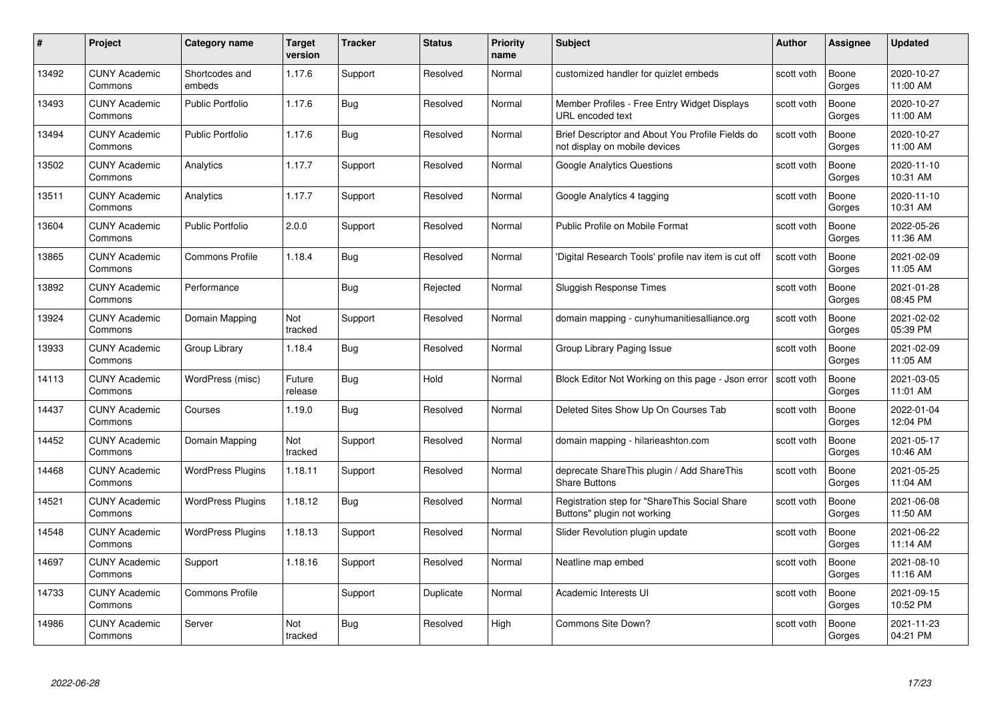| #     | Project                         | <b>Category name</b>     | Target<br>version | <b>Tracker</b> | <b>Status</b> | <b>Priority</b><br>name | <b>Subject</b>                                                                    | <b>Author</b> | <b>Assignee</b> | <b>Updated</b>         |
|-------|---------------------------------|--------------------------|-------------------|----------------|---------------|-------------------------|-----------------------------------------------------------------------------------|---------------|-----------------|------------------------|
| 13492 | <b>CUNY Academic</b><br>Commons | Shortcodes and<br>embeds | 1.17.6            | Support        | Resolved      | Normal                  | customized handler for quizlet embeds                                             | scott voth    | Boone<br>Gorges | 2020-10-27<br>11:00 AM |
| 13493 | <b>CUNY Academic</b><br>Commons | <b>Public Portfolio</b>  | 1.17.6            | Bug            | Resolved      | Normal                  | Member Profiles - Free Entry Widget Displays<br>URL encoded text                  | scott voth    | Boone<br>Gorges | 2020-10-27<br>11:00 AM |
| 13494 | <b>CUNY Academic</b><br>Commons | <b>Public Portfolio</b>  | 1.17.6            | Bug            | Resolved      | Normal                  | Brief Descriptor and About You Profile Fields do<br>not display on mobile devices | scott voth    | Boone<br>Gorges | 2020-10-27<br>11:00 AM |
| 13502 | <b>CUNY Academic</b><br>Commons | Analytics                | 1.17.7            | Support        | Resolved      | Normal                  | <b>Google Analytics Questions</b>                                                 | scott voth    | Boone<br>Gorges | 2020-11-10<br>10:31 AM |
| 13511 | <b>CUNY Academic</b><br>Commons | Analytics                | 1.17.7            | Support        | Resolved      | Normal                  | Google Analytics 4 tagging                                                        | scott voth    | Boone<br>Gorges | 2020-11-10<br>10:31 AM |
| 13604 | <b>CUNY Academic</b><br>Commons | <b>Public Portfolio</b>  | 2.0.0             | Support        | Resolved      | Normal                  | Public Profile on Mobile Format                                                   | scott voth    | Boone<br>Gorges | 2022-05-26<br>11:36 AM |
| 13865 | <b>CUNY Academic</b><br>Commons | <b>Commons Profile</b>   | 1.18.4            | Bug            | Resolved      | Normal                  | 'Digital Research Tools' profile nav item is cut off                              | scott voth    | Boone<br>Gorges | 2021-02-09<br>11:05 AM |
| 13892 | <b>CUNY Academic</b><br>Commons | Performance              |                   | Bug            | Rejected      | Normal                  | <b>Sluggish Response Times</b>                                                    | scott voth    | Boone<br>Gorges | 2021-01-28<br>08:45 PM |
| 13924 | <b>CUNY Academic</b><br>Commons | Domain Mapping           | Not<br>tracked    | Support        | Resolved      | Normal                  | domain mapping - cunyhumanitiesalliance.org                                       | scott voth    | Boone<br>Gorges | 2021-02-02<br>05:39 PM |
| 13933 | <b>CUNY Academic</b><br>Commons | Group Library            | 1.18.4            | Bug            | Resolved      | Normal                  | Group Library Paging Issue                                                        | scott voth    | Boone<br>Gorges | 2021-02-09<br>11:05 AM |
| 14113 | <b>CUNY Academic</b><br>Commons | WordPress (misc)         | Future<br>release | <b>Bug</b>     | Hold          | Normal                  | Block Editor Not Working on this page - Json error                                | scott voth    | Boone<br>Gorges | 2021-03-05<br>11:01 AM |
| 14437 | <b>CUNY Academic</b><br>Commons | Courses                  | 1.19.0            | Bug            | Resolved      | Normal                  | Deleted Sites Show Up On Courses Tab                                              | scott voth    | Boone<br>Gorges | 2022-01-04<br>12:04 PM |
| 14452 | <b>CUNY Academic</b><br>Commons | Domain Mapping           | Not<br>tracked    | Support        | Resolved      | Normal                  | domain mapping - hilarieashton.com                                                | scott voth    | Boone<br>Gorges | 2021-05-17<br>10:46 AM |
| 14468 | <b>CUNY Academic</b><br>Commons | <b>WordPress Plugins</b> | 1.18.11           | Support        | Resolved      | Normal                  | deprecate ShareThis plugin / Add ShareThis<br><b>Share Buttons</b>                | scott voth    | Boone<br>Gorges | 2021-05-25<br>11:04 AM |
| 14521 | <b>CUNY Academic</b><br>Commons | <b>WordPress Plugins</b> | 1.18.12           | Bug            | Resolved      | Normal                  | Registration step for "ShareThis Social Share<br>Buttons" plugin not working      | scott voth    | Boone<br>Gorges | 2021-06-08<br>11:50 AM |
| 14548 | <b>CUNY Academic</b><br>Commons | <b>WordPress Plugins</b> | 1.18.13           | Support        | Resolved      | Normal                  | Slider Revolution plugin update                                                   | scott voth    | Boone<br>Gorges | 2021-06-22<br>11:14 AM |
| 14697 | <b>CUNY Academic</b><br>Commons | Support                  | 1.18.16           | Support        | Resolved      | Normal                  | Neatline map embed                                                                | scott voth    | Boone<br>Gorges | 2021-08-10<br>11:16 AM |
| 14733 | <b>CUNY Academic</b><br>Commons | <b>Commons Profile</b>   |                   | Support        | Duplicate     | Normal                  | Academic Interests UI                                                             | scott voth    | Boone<br>Gorges | 2021-09-15<br>10:52 PM |
| 14986 | <b>CUNY Academic</b><br>Commons | Server                   | Not<br>tracked    | <b>Bug</b>     | Resolved      | High                    | Commons Site Down?                                                                | scott voth    | Boone<br>Gorges | 2021-11-23<br>04:21 PM |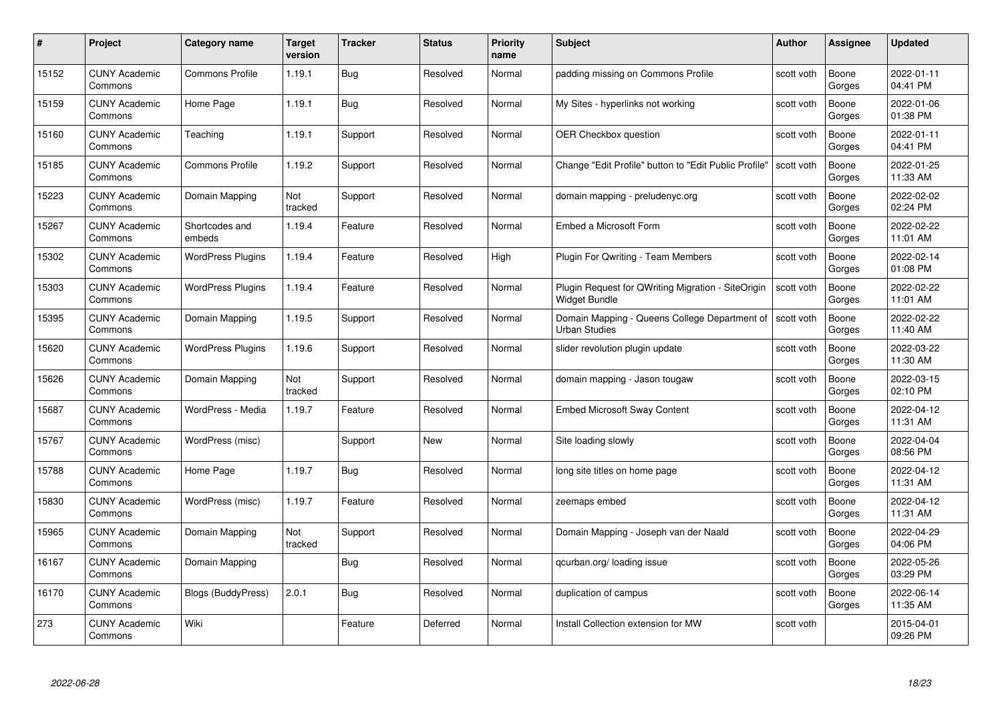| #     | Project                         | <b>Category name</b>      | Target<br>version | <b>Tracker</b> | <b>Status</b> | <b>Priority</b><br>name | <b>Subject</b>                                                             | <b>Author</b> | <b>Assignee</b> | <b>Updated</b>         |
|-------|---------------------------------|---------------------------|-------------------|----------------|---------------|-------------------------|----------------------------------------------------------------------------|---------------|-----------------|------------------------|
| 15152 | <b>CUNY Academic</b><br>Commons | <b>Commons Profile</b>    | 1.19.1            | Bug            | Resolved      | Normal                  | padding missing on Commons Profile                                         | scott voth    | Boone<br>Gorges | 2022-01-11<br>04:41 PM |
| 15159 | <b>CUNY Academic</b><br>Commons | Home Page                 | 1.19.1            | Bug            | Resolved      | Normal                  | My Sites - hyperlinks not working                                          | scott voth    | Boone<br>Gorges | 2022-01-06<br>01:38 PM |
| 15160 | <b>CUNY Academic</b><br>Commons | Teaching                  | 1.19.1            | Support        | Resolved      | Normal                  | <b>OER Checkbox question</b>                                               | scott voth    | Boone<br>Gorges | 2022-01-11<br>04:41 PM |
| 15185 | <b>CUNY Academic</b><br>Commons | <b>Commons Profile</b>    | 1.19.2            | Support        | Resolved      | Normal                  | Change "Edit Profile" button to "Edit Public Profile"                      | scott voth    | Boone<br>Gorges | 2022-01-25<br>11:33 AM |
| 15223 | <b>CUNY Academic</b><br>Commons | Domain Mapping            | Not<br>tracked    | Support        | Resolved      | Normal                  | domain mapping - preludenyc.org                                            | scott voth    | Boone<br>Gorges | 2022-02-02<br>02:24 PM |
| 15267 | <b>CUNY Academic</b><br>Commons | Shortcodes and<br>embeds  | 1.19.4            | Feature        | Resolved      | Normal                  | Embed a Microsoft Form                                                     | scott voth    | Boone<br>Gorges | 2022-02-22<br>11:01 AM |
| 15302 | <b>CUNY Academic</b><br>Commons | <b>WordPress Plugins</b>  | 1.19.4            | Feature        | Resolved      | High                    | Plugin For Qwriting - Team Members                                         | scott voth    | Boone<br>Gorges | 2022-02-14<br>01:08 PM |
| 15303 | <b>CUNY Academic</b><br>Commons | <b>WordPress Plugins</b>  | 1.19.4            | Feature        | Resolved      | Normal                  | Plugin Request for QWriting Migration - SiteOrigin<br><b>Widget Bundle</b> | scott voth    | Boone<br>Gorges | 2022-02-22<br>11:01 AM |
| 15395 | <b>CUNY Academic</b><br>Commons | Domain Mapping            | 1.19.5            | Support        | Resolved      | Normal                  | Domain Mapping - Queens College Department of<br><b>Urban Studies</b>      | scott voth    | Boone<br>Gorges | 2022-02-22<br>11:40 AM |
| 15620 | <b>CUNY Academic</b><br>Commons | <b>WordPress Plugins</b>  | 1.19.6            | Support        | Resolved      | Normal                  | slider revolution plugin update                                            | scott voth    | Boone<br>Gorges | 2022-03-22<br>11:30 AM |
| 15626 | CUNY Academic<br>Commons        | Domain Mapping            | Not<br>tracked    | Support        | Resolved      | Normal                  | domain mapping - Jason tougaw                                              | scott voth    | Boone<br>Gorges | 2022-03-15<br>02:10 PM |
| 15687 | <b>CUNY Academic</b><br>Commons | WordPress - Media         | 1.19.7            | Feature        | Resolved      | Normal                  | <b>Embed Microsoft Sway Content</b>                                        | scott voth    | Boone<br>Gorges | 2022-04-12<br>11:31 AM |
| 15767 | <b>CUNY Academic</b><br>Commons | WordPress (misc)          |                   | Support        | New           | Normal                  | Site loading slowly                                                        | scott voth    | Boone<br>Gorges | 2022-04-04<br>08:56 PM |
| 15788 | <b>CUNY Academic</b><br>Commons | Home Page                 | 1.19.7            | <b>Bug</b>     | Resolved      | Normal                  | long site titles on home page                                              | scott voth    | Boone<br>Gorges | 2022-04-12<br>11:31 AM |
| 15830 | <b>CUNY Academic</b><br>Commons | WordPress (misc)          | 1.19.7            | Feature        | Resolved      | Normal                  | zeemaps embed                                                              | scott voth    | Boone<br>Gorges | 2022-04-12<br>11:31 AM |
| 15965 | <b>CUNY Academic</b><br>Commons | Domain Mapping            | Not<br>tracked    | Support        | Resolved      | Normal                  | Domain Mapping - Joseph van der Naald                                      | scott voth    | Boone<br>Gorges | 2022-04-29<br>04:06 PM |
| 16167 | <b>CUNY Academic</b><br>Commons | Domain Mapping            |                   | <b>Bug</b>     | Resolved      | Normal                  | qcurban.org/loading issue                                                  | scott voth    | Boone<br>Gorges | 2022-05-26<br>03:29 PM |
| 16170 | <b>CUNY Academic</b><br>Commons | <b>Blogs (BuddyPress)</b> | 2.0.1             | <b>Bug</b>     | Resolved      | Normal                  | duplication of campus                                                      | scott voth    | Boone<br>Gorges | 2022-06-14<br>11:35 AM |
| 273   | <b>CUNY Academic</b><br>Commons | Wiki                      |                   | Feature        | Deferred      | Normal                  | Install Collection extension for MW                                        | scott voth    |                 | 2015-04-01<br>09:26 PM |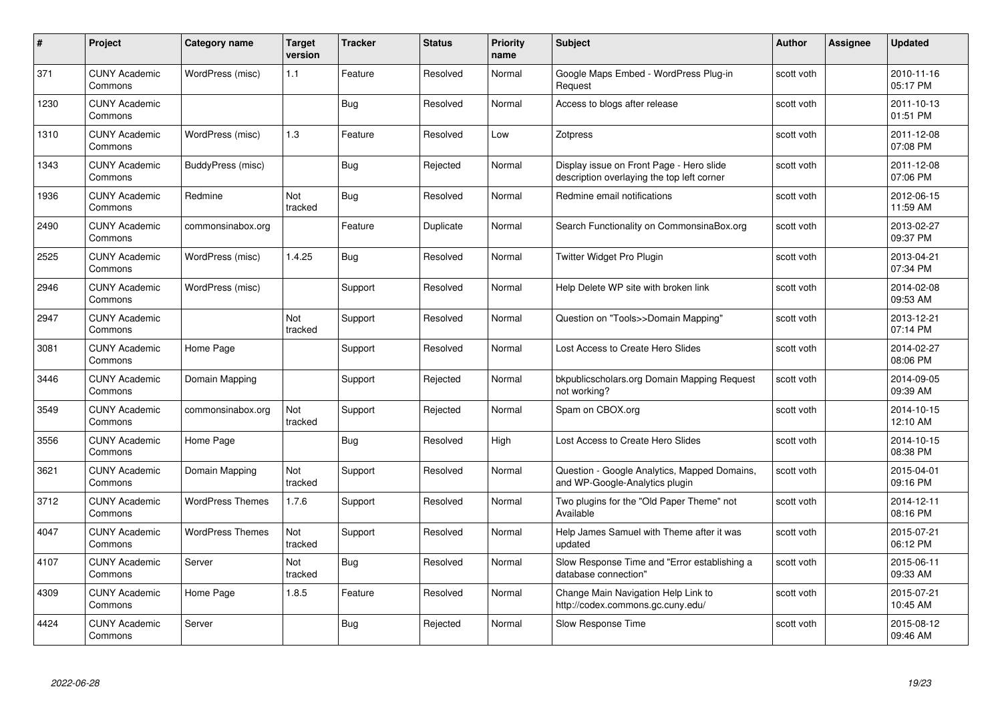| #    | Project                         | <b>Category name</b>    | Target<br>version     | <b>Tracker</b> | <b>Status</b> | <b>Priority</b><br>name | <b>Subject</b>                                                                         | <b>Author</b> | Assignee | <b>Updated</b>         |
|------|---------------------------------|-------------------------|-----------------------|----------------|---------------|-------------------------|----------------------------------------------------------------------------------------|---------------|----------|------------------------|
| 371  | <b>CUNY Academic</b><br>Commons | WordPress (misc)        | 1.1                   | Feature        | Resolved      | Normal                  | Google Maps Embed - WordPress Plug-in<br>Request                                       | scott voth    |          | 2010-11-16<br>05:17 PM |
| 1230 | <b>CUNY Academic</b><br>Commons |                         |                       | Bug            | Resolved      | Normal                  | Access to blogs after release                                                          | scott voth    |          | 2011-10-13<br>01:51 PM |
| 1310 | <b>CUNY Academic</b><br>Commons | WordPress (misc)        | 1.3                   | Feature        | Resolved      | Low                     | Zotpress                                                                               | scott voth    |          | 2011-12-08<br>07:08 PM |
| 1343 | <b>CUNY Academic</b><br>Commons | BuddyPress (misc)       |                       | Bug            | Rejected      | Normal                  | Display issue on Front Page - Hero slide<br>description overlaying the top left corner | scott voth    |          | 2011-12-08<br>07:06 PM |
| 1936 | <b>CUNY Academic</b><br>Commons | Redmine                 | <b>Not</b><br>tracked | <b>Bug</b>     | Resolved      | Normal                  | Redmine email notifications                                                            | scott voth    |          | 2012-06-15<br>11:59 AM |
| 2490 | <b>CUNY Academic</b><br>Commons | commonsinabox.org       |                       | Feature        | Duplicate     | Normal                  | Search Functionality on CommonsinaBox.org                                              | scott voth    |          | 2013-02-27<br>09:37 PM |
| 2525 | <b>CUNY Academic</b><br>Commons | WordPress (misc)        | 1.4.25                | <b>Bug</b>     | Resolved      | Normal                  | Twitter Widget Pro Plugin                                                              | scott voth    |          | 2013-04-21<br>07:34 PM |
| 2946 | <b>CUNY Academic</b><br>Commons | WordPress (misc)        |                       | Support        | Resolved      | Normal                  | Help Delete WP site with broken link                                                   | scott voth    |          | 2014-02-08<br>09:53 AM |
| 2947 | <b>CUNY Academic</b><br>Commons |                         | Not<br>tracked        | Support        | Resolved      | Normal                  | Question on "Tools>>Domain Mapping"                                                    | scott voth    |          | 2013-12-21<br>07:14 PM |
| 3081 | <b>CUNY Academic</b><br>Commons | Home Page               |                       | Support        | Resolved      | Normal                  | Lost Access to Create Hero Slides                                                      | scott voth    |          | 2014-02-27<br>08:06 PM |
| 3446 | <b>CUNY Academic</b><br>Commons | Domain Mapping          |                       | Support        | Rejected      | Normal                  | bkpublicscholars.org Domain Mapping Request<br>not working?                            | scott voth    |          | 2014-09-05<br>09:39 AM |
| 3549 | <b>CUNY Academic</b><br>Commons | commonsinabox.org       | Not<br>tracked        | Support        | Rejected      | Normal                  | Spam on CBOX.org                                                                       | scott voth    |          | 2014-10-15<br>12:10 AM |
| 3556 | <b>CUNY Academic</b><br>Commons | Home Page               |                       | <b>Bug</b>     | Resolved      | High                    | Lost Access to Create Hero Slides                                                      | scott voth    |          | 2014-10-15<br>08:38 PM |
| 3621 | <b>CUNY Academic</b><br>Commons | Domain Mapping          | Not<br>tracked        | Support        | Resolved      | Normal                  | Question - Google Analytics, Mapped Domains,<br>and WP-Google-Analytics plugin         | scott voth    |          | 2015-04-01<br>09:16 PM |
| 3712 | <b>CUNY Academic</b><br>Commons | <b>WordPress Themes</b> | 1.7.6                 | Support        | Resolved      | Normal                  | Two plugins for the "Old Paper Theme" not<br>Available                                 | scott voth    |          | 2014-12-11<br>08:16 PM |
| 4047 | <b>CUNY Academic</b><br>Commons | <b>WordPress Themes</b> | Not<br>tracked        | Support        | Resolved      | Normal                  | Help James Samuel with Theme after it was<br>updated                                   | scott voth    |          | 2015-07-21<br>06:12 PM |
| 4107 | <b>CUNY Academic</b><br>Commons | Server                  | Not<br>tracked        | <b>Bug</b>     | Resolved      | Normal                  | Slow Response Time and "Error establishing a<br>database connection"                   | scott voth    |          | 2015-06-11<br>09:33 AM |
| 4309 | <b>CUNY Academic</b><br>Commons | Home Page               | 1.8.5                 | Feature        | Resolved      | Normal                  | Change Main Navigation Help Link to<br>http://codex.commons.gc.cuny.edu/               | scott voth    |          | 2015-07-21<br>10:45 AM |
| 4424 | <b>CUNY Academic</b><br>Commons | Server                  |                       | <b>Bug</b>     | Rejected      | Normal                  | Slow Response Time                                                                     | scott voth    |          | 2015-08-12<br>09:46 AM |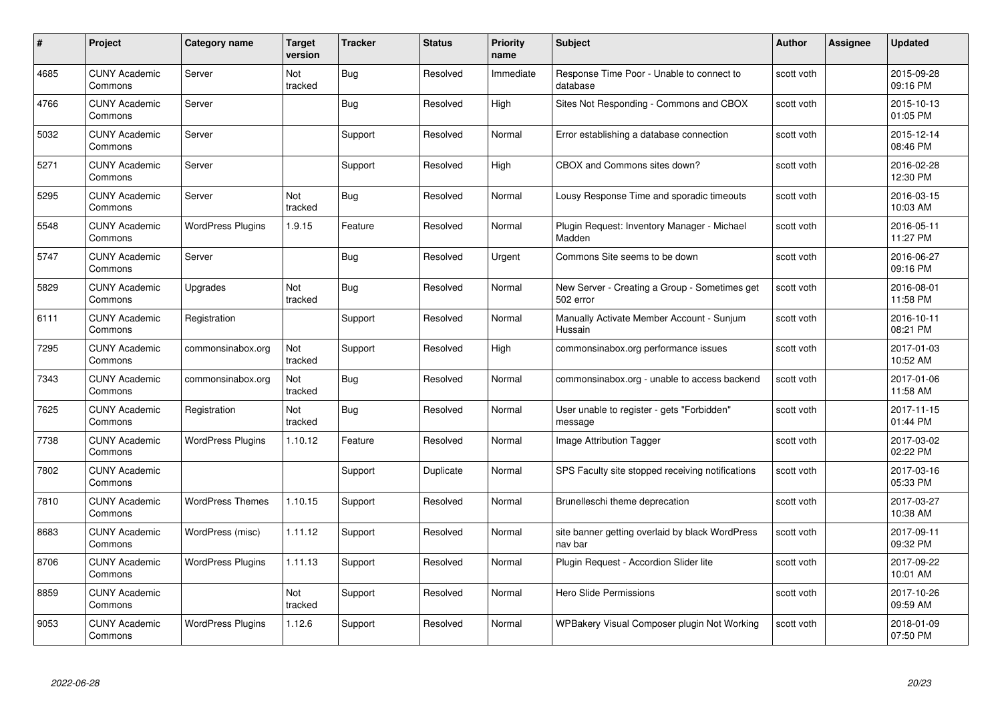| #    | Project                         | <b>Category name</b>     | <b>Target</b><br>version | <b>Tracker</b> | <b>Status</b> | <b>Priority</b><br>name | <b>Subject</b>                                             | <b>Author</b> | <b>Assignee</b> | <b>Updated</b>         |
|------|---------------------------------|--------------------------|--------------------------|----------------|---------------|-------------------------|------------------------------------------------------------|---------------|-----------------|------------------------|
| 4685 | <b>CUNY Academic</b><br>Commons | Server                   | Not<br>tracked           | Bug            | Resolved      | Immediate               | Response Time Poor - Unable to connect to<br>database      | scott voth    |                 | 2015-09-28<br>09:16 PM |
| 4766 | <b>CUNY Academic</b><br>Commons | Server                   |                          | Bug            | Resolved      | High                    | Sites Not Responding - Commons and CBOX                    | scott voth    |                 | 2015-10-13<br>01:05 PM |
| 5032 | <b>CUNY Academic</b><br>Commons | Server                   |                          | Support        | Resolved      | Normal                  | Error establishing a database connection                   | scott voth    |                 | 2015-12-14<br>08:46 PM |
| 5271 | <b>CUNY Academic</b><br>Commons | Server                   |                          | Support        | Resolved      | High                    | CBOX and Commons sites down?                               | scott voth    |                 | 2016-02-28<br>12:30 PM |
| 5295 | <b>CUNY Academic</b><br>Commons | Server                   | Not<br>tracked           | <b>Bug</b>     | Resolved      | Normal                  | Lousy Response Time and sporadic timeouts                  | scott voth    |                 | 2016-03-15<br>10:03 AM |
| 5548 | <b>CUNY Academic</b><br>Commons | <b>WordPress Plugins</b> | 1.9.15                   | Feature        | Resolved      | Normal                  | Plugin Request: Inventory Manager - Michael<br>Madden      | scott voth    |                 | 2016-05-11<br>11:27 PM |
| 5747 | <b>CUNY Academic</b><br>Commons | Server                   |                          | Bug            | Resolved      | Urgent                  | Commons Site seems to be down                              | scott voth    |                 | 2016-06-27<br>09:16 PM |
| 5829 | <b>CUNY Academic</b><br>Commons | Upgrades                 | Not<br>tracked           | <b>Bug</b>     | Resolved      | Normal                  | New Server - Creating a Group - Sometimes get<br>502 error | scott voth    |                 | 2016-08-01<br>11:58 PM |
| 6111 | <b>CUNY Academic</b><br>Commons | Registration             |                          | Support        | Resolved      | Normal                  | Manually Activate Member Account - Sunjum<br>Hussain       | scott voth    |                 | 2016-10-11<br>08:21 PM |
| 7295 | <b>CUNY Academic</b><br>Commons | commonsinabox.org        | Not<br>tracked           | Support        | Resolved      | High                    | commonsinabox.org performance issues                       | scott voth    |                 | 2017-01-03<br>10:52 AM |
| 7343 | <b>CUNY Academic</b><br>Commons | commonsinabox.org        | Not<br>tracked           | Bug            | Resolved      | Normal                  | commonsinabox.org - unable to access backend               | scott voth    |                 | 2017-01-06<br>11:58 AM |
| 7625 | <b>CUNY Academic</b><br>Commons | Registration             | Not<br>tracked           | <b>Bug</b>     | Resolved      | Normal                  | User unable to register - gets "Forbidden"<br>message      | scott voth    |                 | 2017-11-15<br>01:44 PM |
| 7738 | <b>CUNY Academic</b><br>Commons | <b>WordPress Plugins</b> | 1.10.12                  | Feature        | Resolved      | Normal                  | Image Attribution Tagger                                   | scott voth    |                 | 2017-03-02<br>02:22 PM |
| 7802 | <b>CUNY Academic</b><br>Commons |                          |                          | Support        | Duplicate     | Normal                  | SPS Faculty site stopped receiving notifications           | scott voth    |                 | 2017-03-16<br>05:33 PM |
| 7810 | <b>CUNY Academic</b><br>Commons | <b>WordPress Themes</b>  | 1.10.15                  | Support        | Resolved      | Normal                  | Brunelleschi theme deprecation                             | scott voth    |                 | 2017-03-27<br>10:38 AM |
| 8683 | <b>CUNY Academic</b><br>Commons | WordPress (misc)         | 1.11.12                  | Support        | Resolved      | Normal                  | site banner getting overlaid by black WordPress<br>nav bar | scott voth    |                 | 2017-09-11<br>09:32 PM |
| 8706 | <b>CUNY Academic</b><br>Commons | <b>WordPress Plugins</b> | 1.11.13                  | Support        | Resolved      | Normal                  | Plugin Request - Accordion Slider lite                     | scott voth    |                 | 2017-09-22<br>10:01 AM |
| 8859 | <b>CUNY Academic</b><br>Commons |                          | Not<br>tracked           | Support        | Resolved      | Normal                  | Hero Slide Permissions                                     | scott voth    |                 | 2017-10-26<br>09:59 AM |
| 9053 | <b>CUNY Academic</b><br>Commons | <b>WordPress Plugins</b> | 1.12.6                   | Support        | Resolved      | Normal                  | WPBakery Visual Composer plugin Not Working                | scott voth    |                 | 2018-01-09<br>07:50 PM |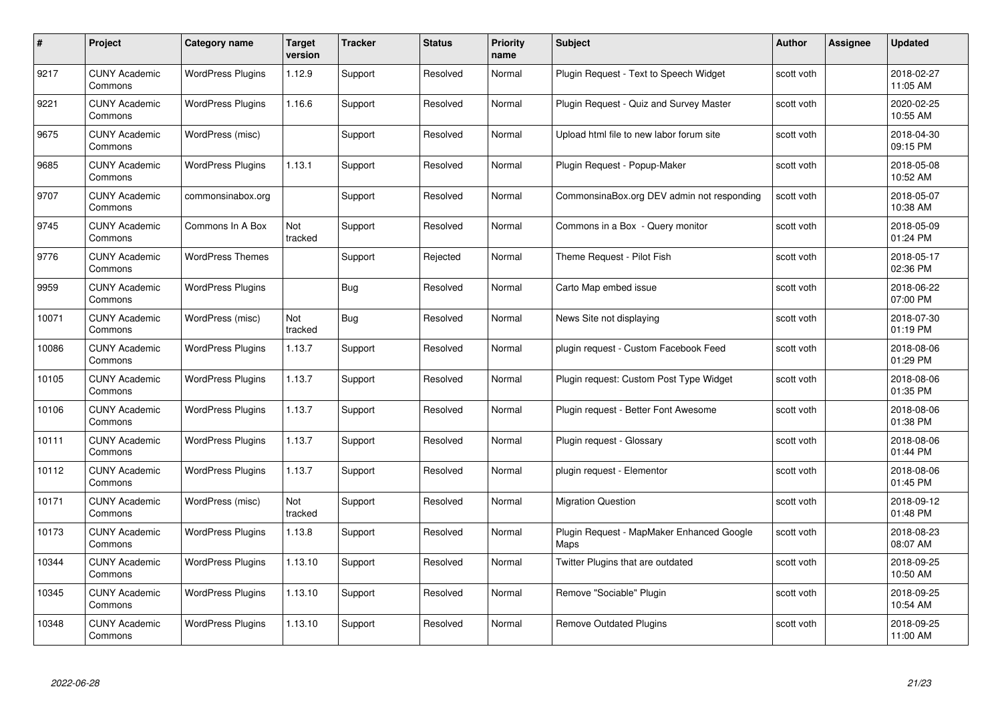| #     | Project                         | Category name            | <b>Target</b><br>version | <b>Tracker</b> | <b>Status</b> | <b>Priority</b><br>name | <b>Subject</b>                                    | Author     | <b>Assignee</b> | <b>Updated</b>         |
|-------|---------------------------------|--------------------------|--------------------------|----------------|---------------|-------------------------|---------------------------------------------------|------------|-----------------|------------------------|
| 9217  | <b>CUNY Academic</b><br>Commons | <b>WordPress Plugins</b> | 1.12.9                   | Support        | Resolved      | Normal                  | Plugin Request - Text to Speech Widget            | scott voth |                 | 2018-02-27<br>11:05 AM |
| 9221  | <b>CUNY Academic</b><br>Commons | <b>WordPress Plugins</b> | 1.16.6                   | Support        | Resolved      | Normal                  | Plugin Request - Quiz and Survey Master           | scott voth |                 | 2020-02-25<br>10:55 AM |
| 9675  | <b>CUNY Academic</b><br>Commons | WordPress (misc)         |                          | Support        | Resolved      | Normal                  | Upload html file to new labor forum site          | scott voth |                 | 2018-04-30<br>09:15 PM |
| 9685  | <b>CUNY Academic</b><br>Commons | <b>WordPress Plugins</b> | 1.13.1                   | Support        | Resolved      | Normal                  | Plugin Request - Popup-Maker                      | scott voth |                 | 2018-05-08<br>10:52 AM |
| 9707  | <b>CUNY Academic</b><br>Commons | commonsinabox.org        |                          | Support        | Resolved      | Normal                  | CommonsinaBox.org DEV admin not responding        | scott voth |                 | 2018-05-07<br>10:38 AM |
| 9745  | <b>CUNY Academic</b><br>Commons | Commons In A Box         | Not<br>tracked           | Support        | Resolved      | Normal                  | Commons in a Box - Query monitor                  | scott voth |                 | 2018-05-09<br>01:24 PM |
| 9776  | <b>CUNY Academic</b><br>Commons | <b>WordPress Themes</b>  |                          | Support        | Rejected      | Normal                  | Theme Request - Pilot Fish                        | scott voth |                 | 2018-05-17<br>02:36 PM |
| 9959  | <b>CUNY Academic</b><br>Commons | <b>WordPress Plugins</b> |                          | <b>Bug</b>     | Resolved      | Normal                  | Carto Map embed issue                             | scott voth |                 | 2018-06-22<br>07:00 PM |
| 10071 | <b>CUNY Academic</b><br>Commons | WordPress (misc)         | Not<br>tracked           | <b>Bug</b>     | Resolved      | Normal                  | News Site not displaying                          | scott voth |                 | 2018-07-30<br>01:19 PM |
| 10086 | <b>CUNY Academic</b><br>Commons | <b>WordPress Plugins</b> | 1.13.7                   | Support        | Resolved      | Normal                  | plugin request - Custom Facebook Feed             | scott voth |                 | 2018-08-06<br>01:29 PM |
| 10105 | <b>CUNY Academic</b><br>Commons | <b>WordPress Plugins</b> | 1.13.7                   | Support        | Resolved      | Normal                  | Plugin request: Custom Post Type Widget           | scott voth |                 | 2018-08-06<br>01:35 PM |
| 10106 | <b>CUNY Academic</b><br>Commons | <b>WordPress Plugins</b> | 1.13.7                   | Support        | Resolved      | Normal                  | Plugin request - Better Font Awesome              | scott voth |                 | 2018-08-06<br>01:38 PM |
| 10111 | <b>CUNY Academic</b><br>Commons | <b>WordPress Plugins</b> | 1.13.7                   | Support        | Resolved      | Normal                  | Plugin request - Glossary                         | scott voth |                 | 2018-08-06<br>01:44 PM |
| 10112 | <b>CUNY Academic</b><br>Commons | <b>WordPress Plugins</b> | 1.13.7                   | Support        | Resolved      | Normal                  | plugin request - Elementor                        | scott voth |                 | 2018-08-06<br>01:45 PM |
| 10171 | <b>CUNY Academic</b><br>Commons | WordPress (misc)         | Not<br>tracked           | Support        | Resolved      | Normal                  | <b>Migration Question</b>                         | scott voth |                 | 2018-09-12<br>01:48 PM |
| 10173 | <b>CUNY Academic</b><br>Commons | <b>WordPress Plugins</b> | 1.13.8                   | Support        | Resolved      | Normal                  | Plugin Request - MapMaker Enhanced Google<br>Maps | scott voth |                 | 2018-08-23<br>08:07 AM |
| 10344 | <b>CUNY Academic</b><br>Commons | <b>WordPress Plugins</b> | 1.13.10                  | Support        | Resolved      | Normal                  | Twitter Plugins that are outdated                 | scott voth |                 | 2018-09-25<br>10:50 AM |
| 10345 | <b>CUNY Academic</b><br>Commons | <b>WordPress Plugins</b> | 1.13.10                  | Support        | Resolved      | Normal                  | Remove "Sociable" Plugin                          | scott voth |                 | 2018-09-25<br>10:54 AM |
| 10348 | CUNY Academic<br>Commons        | <b>WordPress Plugins</b> | 1.13.10                  | Support        | Resolved      | Normal                  | <b>Remove Outdated Plugins</b>                    | scott voth |                 | 2018-09-25<br>11:00 AM |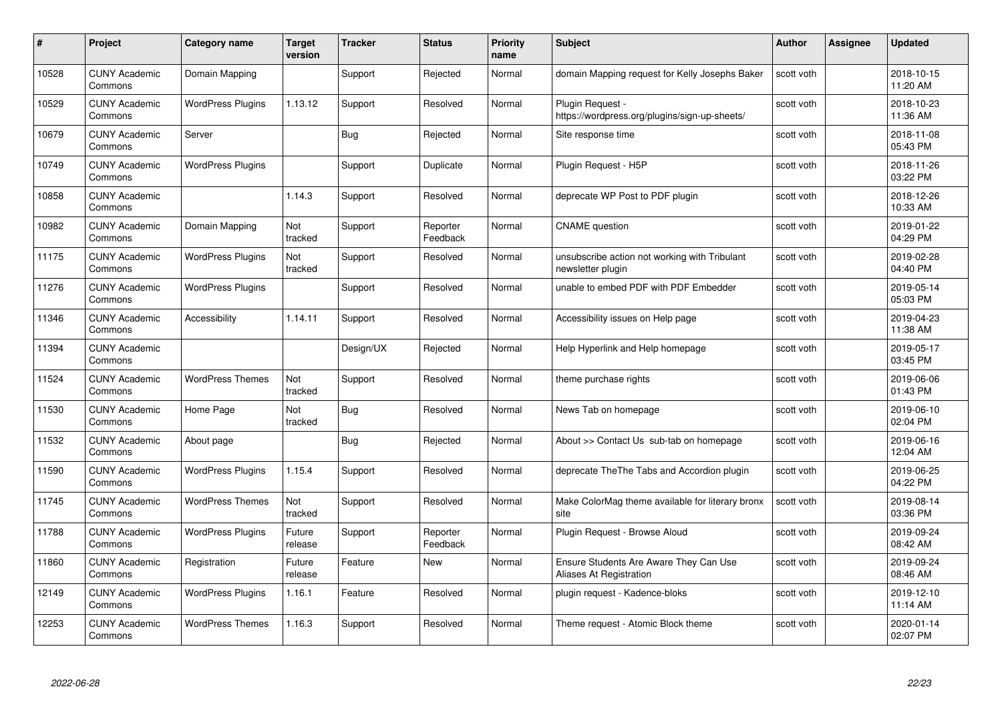| #     | Project                         | <b>Category name</b>     | Target<br>version | <b>Tracker</b> | <b>Status</b>        | <b>Priority</b><br>name | <b>Subject</b>                                                     | <b>Author</b> | <b>Assignee</b> | <b>Updated</b>         |
|-------|---------------------------------|--------------------------|-------------------|----------------|----------------------|-------------------------|--------------------------------------------------------------------|---------------|-----------------|------------------------|
| 10528 | <b>CUNY Academic</b><br>Commons | Domain Mapping           |                   | Support        | Rejected             | Normal                  | domain Mapping request for Kelly Josephs Baker                     | scott voth    |                 | 2018-10-15<br>11:20 AM |
| 10529 | <b>CUNY Academic</b><br>Commons | <b>WordPress Plugins</b> | 1.13.12           | Support        | Resolved             | Normal                  | Plugin Request -<br>https://wordpress.org/plugins/sign-up-sheets/  | scott voth    |                 | 2018-10-23<br>11:36 AM |
| 10679 | <b>CUNY Academic</b><br>Commons | Server                   |                   | Bug            | Rejected             | Normal                  | Site response time                                                 | scott voth    |                 | 2018-11-08<br>05:43 PM |
| 10749 | <b>CUNY Academic</b><br>Commons | <b>WordPress Plugins</b> |                   | Support        | Duplicate            | Normal                  | Plugin Request - H5P                                               | scott voth    |                 | 2018-11-26<br>03:22 PM |
| 10858 | <b>CUNY Academic</b><br>Commons |                          | 1.14.3            | Support        | Resolved             | Normal                  | deprecate WP Post to PDF plugin                                    | scott voth    |                 | 2018-12-26<br>10:33 AM |
| 10982 | <b>CUNY Academic</b><br>Commons | Domain Mapping           | Not<br>tracked    | Support        | Reporter<br>Feedback | Normal                  | <b>CNAME</b> question                                              | scott voth    |                 | 2019-01-22<br>04:29 PM |
| 11175 | <b>CUNY Academic</b><br>Commons | <b>WordPress Plugins</b> | Not<br>tracked    | Support        | Resolved             | Normal                  | unsubscribe action not working with Tribulant<br>newsletter plugin | scott voth    |                 | 2019-02-28<br>04:40 PM |
| 11276 | <b>CUNY Academic</b><br>Commons | <b>WordPress Plugins</b> |                   | Support        | Resolved             | Normal                  | unable to embed PDF with PDF Embedder                              | scott voth    |                 | 2019-05-14<br>05:03 PM |
| 11346 | <b>CUNY Academic</b><br>Commons | Accessibility            | 1.14.11           | Support        | Resolved             | Normal                  | Accessibility issues on Help page                                  | scott voth    |                 | 2019-04-23<br>11:38 AM |
| 11394 | <b>CUNY Academic</b><br>Commons |                          |                   | Design/UX      | Rejected             | Normal                  | Help Hyperlink and Help homepage                                   | scott voth    |                 | 2019-05-17<br>03:45 PM |
| 11524 | <b>CUNY Academic</b><br>Commons | <b>WordPress Themes</b>  | Not<br>tracked    | Support        | Resolved             | Normal                  | theme purchase rights                                              | scott voth    |                 | 2019-06-06<br>01:43 PM |
| 11530 | <b>CUNY Academic</b><br>Commons | Home Page                | Not<br>tracked    | <b>Bug</b>     | Resolved             | Normal                  | News Tab on homepage                                               | scott voth    |                 | 2019-06-10<br>02:04 PM |
| 11532 | <b>CUNY Academic</b><br>Commons | About page               |                   | <b>Bug</b>     | Rejected             | Normal                  | About >> Contact Us sub-tab on homepage                            | scott voth    |                 | 2019-06-16<br>12:04 AM |
| 11590 | <b>CUNY Academic</b><br>Commons | <b>WordPress Plugins</b> | 1.15.4            | Support        | Resolved             | Normal                  | deprecate The The Tabs and Accordion plugin                        | scott voth    |                 | 2019-06-25<br>04:22 PM |
| 11745 | <b>CUNY Academic</b><br>Commons | <b>WordPress Themes</b>  | Not<br>tracked    | Support        | Resolved             | Normal                  | Make ColorMag theme available for literary bronx<br>site           | scott voth    |                 | 2019-08-14<br>03:36 PM |
| 11788 | <b>CUNY Academic</b><br>Commons | <b>WordPress Plugins</b> | Future<br>release | Support        | Reporter<br>Feedback | Normal                  | Plugin Request - Browse Aloud                                      | scott voth    |                 | 2019-09-24<br>08:42 AM |
| 11860 | <b>CUNY Academic</b><br>Commons | Registration             | Future<br>release | Feature        | <b>New</b>           | Normal                  | Ensure Students Are Aware They Can Use<br>Aliases At Registration  | scott voth    |                 | 2019-09-24<br>08:46 AM |
| 12149 | <b>CUNY Academic</b><br>Commons | <b>WordPress Plugins</b> | 1.16.1            | Feature        | Resolved             | Normal                  | plugin request - Kadence-bloks                                     | scott voth    |                 | 2019-12-10<br>11:14 AM |
| 12253 | <b>CUNY Academic</b><br>Commons | <b>WordPress Themes</b>  | 1.16.3            | Support        | Resolved             | Normal                  | Theme request - Atomic Block theme                                 | scott voth    |                 | 2020-01-14<br>02:07 PM |